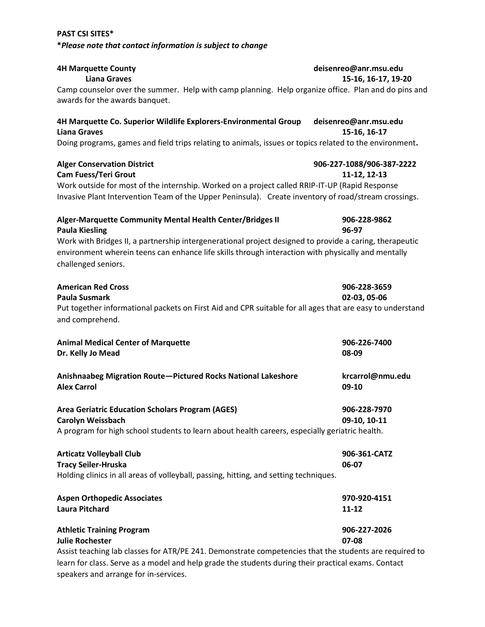| <b>4H Marquette County</b>                                                                                                 | deisenreo@anr.msu.edu                 |  |
|----------------------------------------------------------------------------------------------------------------------------|---------------------------------------|--|
| <b>Liana Graves</b><br>Camp counselor over the summer. Help with camp planning. Help organize office. Plan and do pins and | 15-16, 16-17, 19-20                   |  |
| awards for the awards banquet.                                                                                             |                                       |  |
| 4H Marquette Co. Superior Wildlife Explorers-Environmental Group<br><b>Liana Graves</b>                                    | deisenreo@anr.msu.edu<br>15-16, 16-17 |  |
| Doing programs, games and field trips relating to animals, issues or topics related to the environment.                    |                                       |  |
|                                                                                                                            |                                       |  |
| <b>Alger Conservation District</b>                                                                                         | 906-227-1088/906-387-2222             |  |
| <b>Cam Fuess/Teri Grout</b>                                                                                                | 11-12, 12-13                          |  |
| Work outside for most of the internship. Worked on a project called RRIP-IT-UP (Rapid Response                             |                                       |  |
| Invasive Plant Intervention Team of the Upper Peninsula). Create inventory of road/stream crossings.                       |                                       |  |
| Alger-Marquette Community Mental Health Center/Bridges II                                                                  | 906-228-9862                          |  |
| <b>Paula Kiesling</b>                                                                                                      | 96-97                                 |  |
| Work with Bridges II, a partnership intergenerational project designed to provide a caring, therapeutic                    |                                       |  |
| environment wherein teens can enhance life skills through interaction with physically and mentally                         |                                       |  |
| challenged seniors.                                                                                                        |                                       |  |
| <b>American Red Cross</b>                                                                                                  | 906-228-3659                          |  |
| <b>Paula Susmark</b>                                                                                                       | 02-03, 05-06                          |  |
| Put together informational packets on First Aid and CPR suitable for all ages that are easy to understand                  |                                       |  |
| and comprehend.                                                                                                            |                                       |  |
| <b>Animal Medical Center of Marquette</b>                                                                                  | 906-226-7400                          |  |
| Dr. Kelly Jo Mead                                                                                                          | 08-09                                 |  |
|                                                                                                                            |                                       |  |
| Anishnaabeg Migration Route-Pictured Rocks National Lakeshore                                                              | krcarrol@nmu.edu                      |  |
| <b>Alex Carrol</b>                                                                                                         | 09-10                                 |  |
| <b>Area Geriatric Education Scholars Program (AGES)</b>                                                                    | 906-228-7970                          |  |
| <b>Carolyn Weissbach</b>                                                                                                   | 09-10, 10-11                          |  |
| A program for high school students to learn about health careers, especially geriatric health.                             |                                       |  |
| <b>Articatz Volleyball Club</b>                                                                                            | 906-361-CATZ                          |  |
| <b>Tracy Seiler-Hruska</b>                                                                                                 | 06-07                                 |  |
| Holding clinics in all areas of volleyball, passing, hitting, and setting techniques.                                      |                                       |  |
|                                                                                                                            |                                       |  |
| <b>Aspen Orthopedic Associates</b>                                                                                         | 970-920-4151                          |  |
| <b>Laura Pitchard</b>                                                                                                      | 11-12                                 |  |
| <b>Athletic Training Program</b>                                                                                           | 906-227-2026                          |  |
| <b>Julie Rochester</b>                                                                                                     | 07-08                                 |  |
| Assist teaching lab classes for ATR/PE 241. Demonstrate competencies that the students are required to                     |                                       |  |
| learn for class. Serve as a model and help grade the students during their practical exams. Contact                        |                                       |  |
| speakers and arrange for in-services.                                                                                      |                                       |  |

**PAST CSI SITES\*** 

**\****Please note that contact information is subject to change*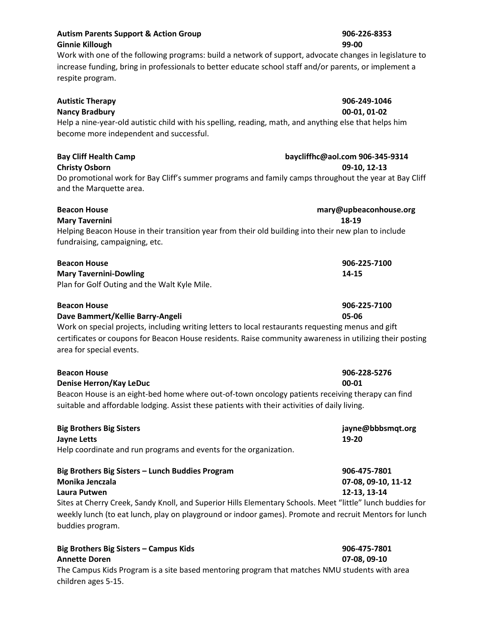| <b>Nancy Bradbury</b>                                                                                  | 00-01, 01-02                                                                                          |
|--------------------------------------------------------------------------------------------------------|-------------------------------------------------------------------------------------------------------|
| Help a nine-year-old autistic child with his spelling, reading, math, and anything else that helps him |                                                                                                       |
| become more independent and successful.                                                                |                                                                                                       |
| <b>Bay Cliff Health Camp</b>                                                                           | baycliffhc@aol.com 906-345-9314                                                                       |
| <b>Christy Osborn</b>                                                                                  | 09-10, 12-13                                                                                          |
| and the Marquette area.                                                                                | Do promotional work for Bay Cliff's summer programs and family camps throughout the year at Bay Cliff |
| <b>Beacon House</b>                                                                                    | mary@upbeaconhouse.org                                                                                |

**Mary Tavernini 18-19** Helping Beacon House in their transition year from their old building into their new plan to include fundraising, campaigning, etc.

| <b>Beacon House</b>                          | 906-225-7100 |
|----------------------------------------------|--------------|
| <b>Mary Tavernini-Dowling</b>                | 14-15        |
| Plan for Golf Outing and the Walt Kyle Mile. |              |

| <b>Beacon House</b>                                                                                | 906-225-7100 |
|----------------------------------------------------------------------------------------------------|--------------|
| Dave Bammert/Kellie Barry-Angeli                                                                   | 05-06        |
| Work on special projects, including writing letters to local restaurants requesting menus and gift |              |

certificates or coupons for Beacon House residents. Raise community awareness in utilizing their posting area for special events.

| <b>Beacon House</b>                                                                              | 906-228-5276        |  |
|--------------------------------------------------------------------------------------------------|---------------------|--|
| Denise Herron/Kay LeDuc                                                                          | $00 - 01$           |  |
| Beacon House is an eight-bed home where out-of-town oncology patients receiving therapy can find |                     |  |
| suitable and affordable lodging. Assist these patients with their activities of daily living.    |                     |  |
| <b>Big Brothers Big Sisters</b>                                                                  | jayne@bbbsmqt.org   |  |
| <b>Jayne Letts</b>                                                                               | 19-20               |  |
| Help coordinate and run programs and events for the organization.                                |                     |  |
| Big Brothers Big Sisters - Lunch Buddies Program                                                 | 906-475-7801        |  |
| Monika Jenczala                                                                                  | 07-08, 09-10, 11-12 |  |

### **Laura Putwen 12-13, 13-14**

Sites at Cherry Creek, Sandy Knoll, and Superior Hills Elementary Schools. Meet "little" lunch buddies for weekly lunch (to eat lunch, play on playground or indoor games). Promote and recruit Mentors for lunch buddies program.

| Big Brothers Big Sisters – Campus Kids                                                        | 906-475-7801 |
|-----------------------------------------------------------------------------------------------|--------------|
| <b>Annette Doren</b>                                                                          | 07-08.09-10  |
| The Campus Kids Program is a site based mentoring program that matches NMU students with area |              |
| children ages 5-15.                                                                           |              |

### **Autism Parents Support & Action Group 906-226-8353 Ginnie Killough 99-00**

Work with one of the following programs: build a network of support, advocate changes in legislature to increase funding, bring in professionals to better educate school staff and/or parents, or implement a respite program.

**Autistic Therapy 906-249-1046**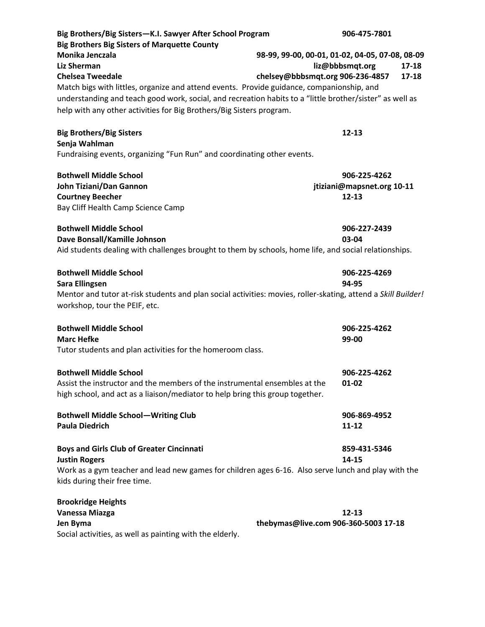| Big Brothers/Big Sisters-K.I. Sawyer After School Program<br><b>Big Brothers Big Sisters of Marquette County</b>                                                                                                                                                                                                                                  |                                      | 906-475-7801                                                                             |
|---------------------------------------------------------------------------------------------------------------------------------------------------------------------------------------------------------------------------------------------------------------------------------------------------------------------------------------------------|--------------------------------------|------------------------------------------------------------------------------------------|
| Monika Jenczala<br><b>Liz Sherman</b><br><b>Chelsea Tweedale</b><br>Match bigs with littles, organize and attend events. Provide guidance, companionship, and<br>understanding and teach good work, social, and recreation habits to a "little brother/sister" as well as<br>help with any other activities for Big Brothers/Big Sisters program. | chelsey@bbbsmqt.org 906-236-4857     | 98-99, 99-00, 00-01, 01-02, 04-05, 07-08, 08-09<br>liz@bbbsmqt.org<br>$17 - 18$<br>17-18 |
| <b>Big Brothers/Big Sisters</b><br>Senja Wahlman<br>Fundraising events, organizing "Fun Run" and coordinating other events.                                                                                                                                                                                                                       |                                      | $12 - 13$                                                                                |
| <b>Bothwell Middle School</b><br>John Tiziani/Dan Gannon<br><b>Courtney Beecher</b><br>Bay Cliff Health Camp Science Camp                                                                                                                                                                                                                         |                                      | 906-225-4262<br>jtiziani@mapsnet.org 10-11<br>$12 - 13$                                  |
| <b>Bothwell Middle School</b><br>Dave Bonsall/Kamille Johnson<br>Aid students dealing with challenges brought to them by schools, home life, and social relationships.                                                                                                                                                                            |                                      | 906-227-2439<br>03-04                                                                    |
| <b>Bothwell Middle School</b><br><b>Sara Ellingsen</b><br>Mentor and tutor at-risk students and plan social activities: movies, roller-skating, attend a Skill Builder!<br>workshop, tour the PEIF, etc.                                                                                                                                          |                                      | 906-225-4269<br>94-95                                                                    |
| <b>Bothwell Middle School</b><br><b>Marc Hefke</b><br>Tutor students and plan activities for the homeroom class.                                                                                                                                                                                                                                  |                                      | 906-225-4262<br>99-00                                                                    |
| <b>Bothwell Middle School</b><br>Assist the instructor and the members of the instrumental ensembles at the<br>high school, and act as a liaison/mediator to help bring this group together.                                                                                                                                                      |                                      | 906-225-4262<br>$01 - 02$                                                                |
| <b>Bothwell Middle School-Writing Club</b><br><b>Paula Diedrich</b>                                                                                                                                                                                                                                                                               |                                      | 906-869-4952<br>11-12                                                                    |
| <b>Boys and Girls Club of Greater Cincinnati</b><br><b>Justin Rogers</b><br>Work as a gym teacher and lead new games for children ages 6-16. Also serve lunch and play with the<br>kids during their free time.                                                                                                                                   |                                      | 859-431-5346<br>14-15                                                                    |
| <b>Brookridge Heights</b><br>Vanessa Miazga<br>Jen Byma                                                                                                                                                                                                                                                                                           | thebymas@live.com 906-360-5003 17-18 | $12 - 13$                                                                                |

Social activities, as well as painting with the elderly.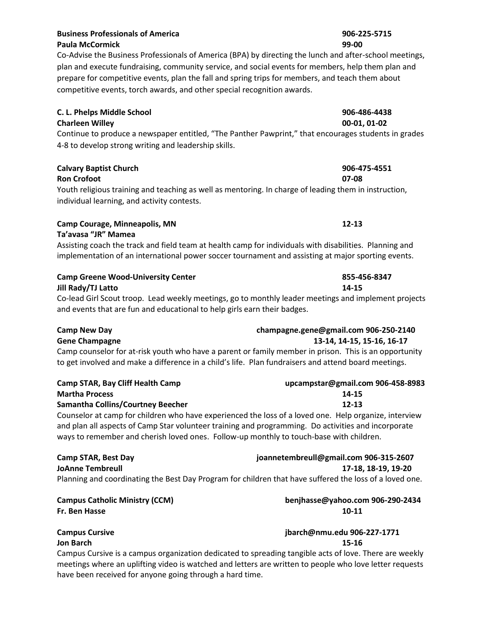### **Business Professionals of America 906-225-5715 Paula McCormick 99-00**

Co-Advise the Business Professionals of America (BPA) by directing the lunch and after-school meetings, plan and execute fundraising, community service, and social events for members, help them plan and prepare for competitive events, plan the fall and spring trips for members, and teach them about competitive events, torch awards, and other special recognition awards.

## **C. L. Phelps Middle School 906-486-4438**

## **Charleen Willey 00-01, 01-02**

Continue to produce a newspaper entitled, "The Panther Pawprint," that encourages students in grades 4-8 to develop strong writing and leadership skills.

### **Calvary Baptist Church 906-475-4551 Ron Crofoot 07-08**

Youth religious training and teaching as well as mentoring. In charge of leading them in instruction, individual learning, and activity contests.

### **Camp Courage, Minneapolis, MN 12-13 Ta'avasa "JR" Mamea**

Assisting coach the track and field team at health camp for individuals with disabilities. Planning and implementation of an international power soccer tournament and assisting at major sporting events.

# **Camp Greene Wood-University Center 855-456-8347**

**Jill Rady/TJ Latto 14-15** Co-lead Girl Scout troop. Lead weekly meetings, go to monthly leader meetings and implement projects and events that are fun and educational to help girls earn their badges.

| <b>Camp New Day</b>                                                                                                                                                                                           | champagne.gene@gmail.com 906-250-2140 |
|---------------------------------------------------------------------------------------------------------------------------------------------------------------------------------------------------------------|---------------------------------------|
| <b>Gene Champagne</b>                                                                                                                                                                                         | 13-14, 14-15, 15-16, 16-17            |
| Camp counselor for at-risk youth who have a parent or family member in prison. This is an opportunity<br>to get involved and make a difference in a child's life. Plan fundraisers and attend board meetings. |                                       |

| Camp STAR, Bay Cliff Health Camp                                                                     | upcampstar@gmail.com 906-458-8983 |
|------------------------------------------------------------------------------------------------------|-----------------------------------|
| <b>Martha Process</b>                                                                                | 14-15                             |
| Samantha Collins/Courtney Beecher                                                                    | 12-13                             |
| Counselor at camp for children who have experienced the loss of a loved one. Help organize interview |                                   |

Counselor at camp for children who have experienced the loss of a loved one. Help organize, interview and plan all aspects of Camp Star volunteer training and programming. Do activities and incorporate ways to remember and cherish loved ones. Follow-up monthly to touch-base with children.

| <b>Camp STAR, Best Day</b>                                                                              | joannetembreull@gmail.com 906-315-2607 |
|---------------------------------------------------------------------------------------------------------|----------------------------------------|
| <b>JoAnne Tembreull</b>                                                                                 | 17-18. 18-19. 19-20                    |
| Planning and coordinating the Best Day Program for children that have suffered the loss of a loved one. |                                        |

**Campus Catholic Ministry (CCM) benjhasse@yahoo.com 906-290-2434 Fr. Ben Hasse 10-11** 

**Campus Cursive jbarch@nmu.edu 906-227-1771 Jon Barch 15-16**

Campus Cursive is a campus organization dedicated to spreading tangible acts of love. There are weekly meetings where an uplifting video is watched and letters are written to people who love letter requests have been received for anyone going through a hard time.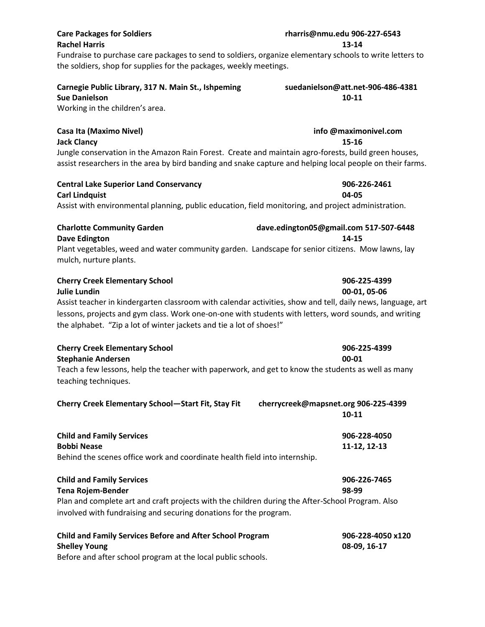# **Care Packages for Soldiers rharris@nmu.edu 906-227-6543**

# **Rachel Harris 13-14**

Fundraise to purchase care packages to send to soldiers, organize elementary schools to write letters to the soldiers, shop for supplies for the packages, weekly meetings.

# **Carnegie Public Library, 317 N. Main St., Ishpeming suedanielson@att.net-906-486-4381**

Working in the children's area.

**Jack Clancy 15-16**

Jungle conservation in the Amazon Rain Forest. Create and maintain agro-forests, build green houses, assist researchers in the area by bird banding and snake capture and helping local people on their farms.

# **Central Lake Superior Land Conservancy 906-226-2461**

**Carl Lindquist 04-05**  Assist with environmental planning, public education, field monitoring, and project administration.

| <b>Charlotte Community Garden</b>                                                   | dave.edington05@gmail.com |  |
|-------------------------------------------------------------------------------------|---------------------------|--|
| Dave Edington                                                                       | 14-15                     |  |
| Plant vegetables, weed and water community garden. Landscape for senior citizens. N |                           |  |

Plant vegetables, weed and water community garden. Landscape for senior citizens. Mow lawns, lay mulch, nurture plants.

# **Cherry Creek Elementary School 906-225-4399**

### **Julie Lundin 00-01, 05-06**

Assist teacher in kindergarten classroom with calendar activities, show and tell, daily news, language, art lessons, projects and gym class. Work one-on-one with students with letters, word sounds, and writing the alphabet. "Zip a lot of winter jackets and tie a lot of shoes!"

| <b>Cherry Creek Elementary School</b> | 906-225-4399 |
|---------------------------------------|--------------|
| <b>Stephanie Andersen</b>             | 00-01        |
|                                       |              |

Teach a few lessons, help the teacher with paperwork, and get to know the students as well as many teaching techniques.

| Cherry Creek Elementary School-Start Fit, Stay Fit |  |  |
|----------------------------------------------------|--|--|
|----------------------------------------------------|--|--|

| <b>Child and Family Services</b>                                           | 906-228-4050 |
|----------------------------------------------------------------------------|--------------|
| Bobbi Nease                                                                | 11-12. 12-13 |
| Behind the scenes office work and coordinate health field into internship. |              |

| <b>Child and Family Services</b>                                                                 | 906-226-7465 |
|--------------------------------------------------------------------------------------------------|--------------|
| Tena Rojem-Bender                                                                                | 98-99        |
| Plan and complete art and craft projects with the children during the After-School Program. Also |              |
| involved with fundraising and securing donations for the program.                                |              |

| <b>Child and Family Services Before and After School Program</b> | 906-228-4050 x120 |
|------------------------------------------------------------------|-------------------|
| <b>Shelley Young</b>                                             | 08-09. 16-17      |
| Before and after school program at the local public schools.     |                   |

**Sue Danielson 10-11 10-11** 

# **Casa Ita (Maximo Nivel) info @maximonivel.com**

**Charlotte Community Garden dave.edington05@gmail.com 517-507-6448**

**Cherry Creek Elementary School—Start Fit, Stay Fit cherrycreek@mapsnet.org 906-225-4399**

**10-11**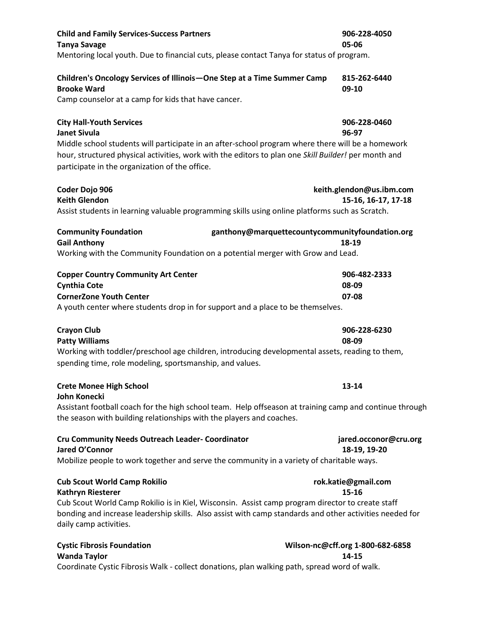| <b>Child and Family Services-Success Partners</b><br><b>Tanya Savage</b><br>Mentoring local youth. Due to financial cuts, please contact Tanya for status of program.                                                                                                                                                 | 906-228-4050<br>05-06                           |
|-----------------------------------------------------------------------------------------------------------------------------------------------------------------------------------------------------------------------------------------------------------------------------------------------------------------------|-------------------------------------------------|
| Children's Oncology Services of Illinois - One Step at a Time Summer Camp<br><b>Brooke Ward</b><br>Camp counselor at a camp for kids that have cancer.                                                                                                                                                                | 815-262-6440<br>09-10                           |
| <b>City Hall-Youth Services</b><br><b>Janet Sivula</b><br>Middle school students will participate in an after-school program where there will be a homework<br>hour, structured physical activities, work with the editors to plan one Skill Builder! per month and<br>participate in the organization of the office. | 906-228-0460<br>96-97                           |
| Coder Dojo 906<br><b>Keith Glendon</b><br>Assist students in learning valuable programming skills using online platforms such as Scratch.                                                                                                                                                                             | keith.glendon@us.ibm.com<br>15-16, 16-17, 17-18 |
| <b>Community Foundation</b><br>ganthony@marquettecountycommunityfoundation.org<br><b>Gail Anthony</b><br>Working with the Community Foundation on a potential merger with Grow and Lead.                                                                                                                              | 18-19                                           |
| <b>Copper Country Community Art Center</b><br><b>Cynthia Cote</b><br><b>CornerZone Youth Center</b><br>A youth center where students drop in for support and a place to be themselves.                                                                                                                                | 906-482-2333<br>08-09<br>07-08                  |
| <b>Crayon Club</b><br><b>Patty Williams</b><br>Working with toddler/preschool age children, introducing developmental assets, reading to them,<br>spending time, role modeling, sportsmanship, and values.                                                                                                            | 906-228-6230<br>08-09                           |
| <b>Crete Monee High School</b>                                                                                                                                                                                                                                                                                        | 13-14                                           |
| <b>John Konecki</b><br>Assistant football coach for the high school team. Help offseason at training camp and continue through<br>the season with building relationships with the players and coaches.                                                                                                                |                                                 |
| <b>Cru Community Needs Outreach Leader- Coordinator</b><br>Jared O'Connor<br>Mobilize people to work together and serve the community in a variety of charitable ways.                                                                                                                                                | jared.occonor@cru.org<br>18-19, 19-20           |
| <b>Cub Scout World Camp Rokilio</b><br><b>Kathryn Riesterer</b><br>Cub Scout World Camp Rokilio is in Kiel, Wisconsin. Assist camp program director to create staff<br>bonding and increase leadership skills. Also assist with camp standards and other activities needed for<br>daily camp activities.              | rok.katie@gmail.com<br>15-16                    |
| <b>Cystic Fibrosis Foundation</b><br><b>Wanda Taylor</b><br>Coordinate Cystic Fibrosis Walk - collect donations, plan walking path, spread word of walk.                                                                                                                                                              | Wilson-nc@cff.org 1-800-682-6858<br>14-15       |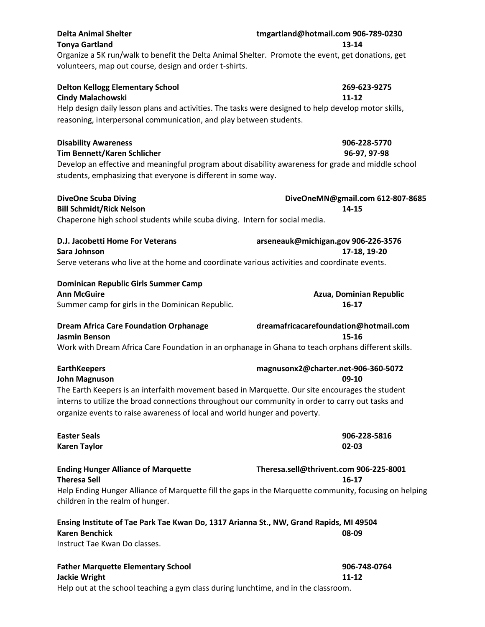| <b>Delta Animal Shelter</b>                                                                            | tmgartland@hotmail.com 906-789-0230                 |
|--------------------------------------------------------------------------------------------------------|-----------------------------------------------------|
| <b>Tonya Gartland</b>                                                                                  | 13-14                                               |
| Organize a 5K run/walk to benefit the Delta Animal Shelter. Promote the event, get donations, get      |                                                     |
| volunteers, map out course, design and order t-shirts.                                                 |                                                     |
| <b>Delton Kellogg Elementary School</b>                                                                | 269-623-9275                                        |
| <b>Cindy Malachowski</b>                                                                               | 11-12                                               |
| Help design daily lesson plans and activities. The tasks were designed to help develop motor skills,   |                                                     |
| reasoning, interpersonal communication, and play between students.                                     |                                                     |
| <b>Disability Awareness</b>                                                                            | 906-228-5770                                        |
| Tim Bennett/Karen Schlicher                                                                            | 96-97, 97-98                                        |
| Develop an effective and meaningful program about disability awareness for grade and middle school     |                                                     |
| students, emphasizing that everyone is different in some way.                                          |                                                     |
| <b>DiveOne Scuba Diving</b>                                                                            | DiveOneMN@gmail.com 612-807-8685                    |
| <b>Bill Schmidt/Rick Nelson</b>                                                                        | 14-15                                               |
| Chaperone high school students while scuba diving. Intern for social media.                            |                                                     |
| D.J. Jacobetti Home For Veterans                                                                       | arseneauk@michigan.gov 906-226-3576                 |
| Sara Johnson                                                                                           | 17-18, 19-20                                        |
| Serve veterans who live at the home and coordinate various activities and coordinate events.           |                                                     |
| Dominican Republic Girls Summer Camp                                                                   |                                                     |
| <b>Ann McGuire</b>                                                                                     | Azua, Dominian Republic                             |
| Summer camp for girls in the Dominican Republic.                                                       | 16-17                                               |
| <b>Dream Africa Care Foundation Orphanage</b><br><b>Jasmin Benson</b>                                  | dreamafricacarefoundation@hotmail.com<br>15-16      |
| Work with Dream Africa Care Foundation in an orphanage in Ghana to teach orphans different skills.     |                                                     |
| <b>EarthKeepers</b>                                                                                    | magnusonx2@charter.net-906-360-5072                 |
| <b>John Magnuson</b>                                                                                   | 09-10                                               |
| The Earth Keepers is an interfaith movement based in Marquette. Our site encourages the student        |                                                     |
| interns to utilize the broad connections throughout our community in order to carry out tasks and      |                                                     |
| organize events to raise awareness of local and world hunger and poverty.                              |                                                     |
| <b>Easter Seals</b>                                                                                    | 906-228-5816                                        |
| <b>Karen Taylor</b>                                                                                    | 02-03                                               |
| <b>Ending Hunger Alliance of Marquette</b><br><b>Theresa Sell</b>                                      | Theresa.sell@thrivent.com 906-225-8001<br>$16 - 17$ |
| Help Ending Hunger Alliance of Marquette fill the gaps in the Marquette community, focusing on helping |                                                     |
| children in the realm of hunger.                                                                       |                                                     |
| Ensing Institute of Tae Park Tae Kwan Do, 1317 Arianna St., NW, Grand Rapids, MI 49504                 |                                                     |
| <b>Karen Benchick</b>                                                                                  | 08-09                                               |
| Instruct Tae Kwan Do classes.                                                                          |                                                     |
| <b>Father Marquette Elementary School</b>                                                              | 906-748-0764                                        |
| <b>Jackie Wright</b>                                                                                   | 11-12                                               |
| Help out at the school teaching a gym class during lunchtime, and in the classroom.                    |                                                     |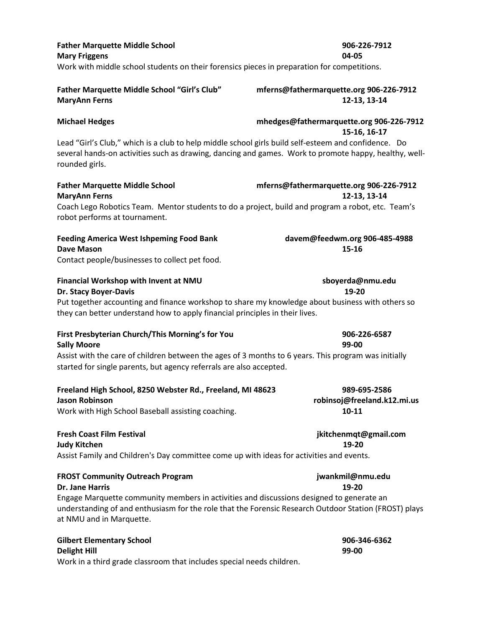| <b>Father Marquette Middle School</b>                                                       | 906-226-7912 |
|---------------------------------------------------------------------------------------------|--------------|
| <b>Mary Friggens</b>                                                                        | 04-05        |
| Work with middle school students on their forensics pieces in preparation for competitions. |              |

### **Father Marquette Middle School "Girl's Club" mferns@fathermarquette.org 906-226-7912 MaryAnn Ferns 12-13, 13-14**

**Michael Hedges mhedges@fathermarquette.org 906-226-7912 15-16, 16-17**

Lead "Girl's Club," which is a club to help middle school girls build self-esteem and confidence. Do several hands-on activities such as drawing, dancing and games. Work to promote happy, healthy, wellrounded girls.

### **Father Marquette Middle School mferns@fathermarquette.org 906-226-7912 MaryAnn Ferns 12-13, 13-14**

at NMU and in Marquette.

Coach Lego Robotics Team. Mentor students to do a project, build and program a robot, etc. Team's robot performs at tournament.

| <b>Feeding America West Ishpeming Food Bank</b> | davem@feedwm.org 906-485-4988 |
|-------------------------------------------------|-------------------------------|
| Dave Mason                                      | 15-16                         |
| Contact people/businesses to collect pet food.  |                               |

| Financial Workshop with Invent at NMU                                                            | sboyerda@nmu.edu |
|--------------------------------------------------------------------------------------------------|------------------|
| Dr. Stacy Boyer-Davis                                                                            | 19-20            |
| Put together accounting and finance workshop to share my knowledge about business with others so |                  |
| they can better understand how to apply financial principles in their lives.                     |                  |

| First Presbyterian Church/This Morning's for You                                                     | 906-226-6587 |
|------------------------------------------------------------------------------------------------------|--------------|
| <b>Sally Moore</b>                                                                                   | 99-00        |
| Assist with the care of children between the ages of 3 months to 6 years. This program was initially |              |
| started for single parents, but agency referrals are also accepted.                                  |              |

| Freeland High School, 8250 Webster Rd., Freeland, MI 48623 | 989-695-2586                |
|------------------------------------------------------------|-----------------------------|
| Jason Robinson                                             | robinsoj@freeland.k12.mi.us |
| Work with High School Baseball assisting coaching.         | $10 - 11$                   |

### **Fresh Coast Film Festival jkitchenmqt@gmail.com Judy Kitchen 19-20** Assist Family and Children's Day committee come up with ideas for activities and events.

| <b>FROST Community Outreach Program</b>                                                               | jwankmil@nmu.edu |
|-------------------------------------------------------------------------------------------------------|------------------|
| <b>Dr. Jane Harris</b>                                                                                | 19-20            |
| Engage Marquette community members in activities and discussions designed to generate an              |                  |
| understanding of and enthusiasm for the role that the Forensic Research Outdoor Station (FROST) plays |                  |

### **Gilbert Elementary School 906-346-6362 Delight Hill 99-00**  Work in a third grade classroom that includes special needs children.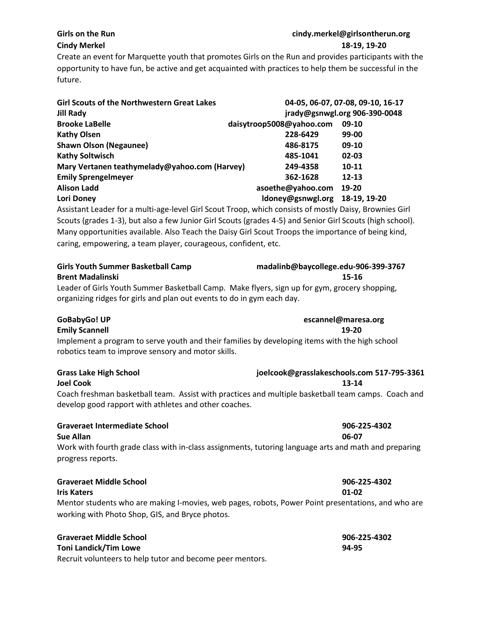### **Girls on the Run cindy.merkel@girlsontherun.org Cindy Merkel 18-19, 19-20**

Create an event for Marquette youth that promotes Girls on the Run and provides participants with the opportunity to have fun, be active and get acquainted with practices to help them be successful in the future.

| <b>Girl Scouts of the Northwestern Great Lakes</b><br><b>Jill Rady</b> |                          | 04-05, 06-07, 07-08, 09-10, 16-17<br>jrady@gsnwgl.org 906-390-0048 |
|------------------------------------------------------------------------|--------------------------|--------------------------------------------------------------------|
| <b>Brooke LaBelle</b>                                                  | daisytroop5008@yahoo.com | 09-10                                                              |
| <b>Kathy Olsen</b>                                                     | 228-6429                 | 99-00                                                              |
| <b>Shawn Olson (Negaunee)</b>                                          | 486-8175                 | 09-10                                                              |
| <b>Kathy Soltwisch</b>                                                 | 485-1041                 | 02-03                                                              |
| Mary Vertanen teathymelady@yahoo.com (Harvey)                          | 249-4358                 | $10 - 11$                                                          |
| <b>Emily Sprengelmeyer</b>                                             | 362-1628                 | $12 - 13$                                                          |
| <b>Alison Ladd</b>                                                     | asoethe@yahoo.com        | 19-20                                                              |
| Lori Doney                                                             | Idoney@gsnwgl.org        | 18-19, 19-20                                                       |
|                                                                        |                          |                                                                    |

Assistant Leader for a multi-age-level Girl Scout Troop, which consists of mostly Daisy, Brownies Girl Scouts (grades 1-3), but also a few Junior Girl Scouts (grades 4-5) and Senior Girl Scouts (high school). Many opportunities available. Also Teach the Daisy Girl Scout Troops the importance of being kind, caring, empowering, a team player, courageous, confident, etc.

| <b>Girls Youth Summer Basketball Camp</b>                                                     | madalinb@baycollege.edu-906-399-3767 |  |
|-----------------------------------------------------------------------------------------------|--------------------------------------|--|
| <b>Brent Madalinski</b>                                                                       | 15-16                                |  |
| Leader of Girls Youth Summer Basketball Camp. Make flyers, sign up for gym, grocery shopping, |                                      |  |
| organizing ridges for girls and plan out events to do in gym each day.                        |                                      |  |

# **GoBabyGo! UP escannel@maresa.org**

### **Emily Scannell 19-20**

Implement a program to serve youth and their families by developing items with the high school robotics team to improve sensory and motor skills.

| <b>Grass Lake High School</b>                         | joelcook@grasslakeschools.com 517-795-3361                                                          |  |
|-------------------------------------------------------|-----------------------------------------------------------------------------------------------------|--|
| <b>Joel Cook</b>                                      | 13-14                                                                                               |  |
|                                                       | Coach freshman basketball team. Assist with practices and multiple basketball team camps. Coach and |  |
| develop good rapport with athletes and other coaches. |                                                                                                     |  |

| Graveraet Intermediate School | 906-22 |
|-------------------------------|--------|
| Sue Allan                     | 06-07  |

Work with fourth grade class with in-class assignments, tutoring language arts and math and preparing progress reports.

| <b>Graveraet Middle School</b>                                                                     | 906-225-4302 |
|----------------------------------------------------------------------------------------------------|--------------|
| Iris Katers                                                                                        | 01-02        |
| Mentor students who are making I-movies, web pages, robots, Power Point presentations, and who are |              |
| working with Photo Shop, GIS, and Bryce photos.                                                    |              |

| <b>Graveraet Middle School</b>                            | 906-225-4302 |
|-----------------------------------------------------------|--------------|
| Toni Landick/Tim Lowe                                     | 94-95        |
| Recruit volunteers to help tutor and become peer mentors. |              |

# **Graveraet Intermediate School 906-225-4302**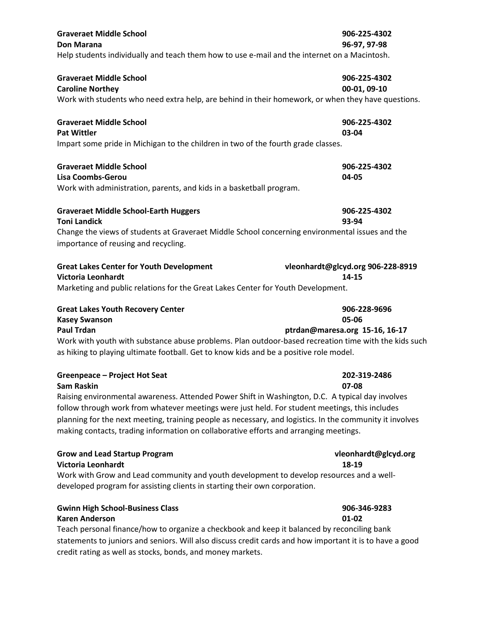| <b>Graveraet Middle School</b><br>Don Marana<br>Help students individually and teach them how to use e-mail and the internet on a Macintosh.                                                                                                                                                                                                                                                                                                                  | 906-225-4302<br>96-97, 97-98                            |
|---------------------------------------------------------------------------------------------------------------------------------------------------------------------------------------------------------------------------------------------------------------------------------------------------------------------------------------------------------------------------------------------------------------------------------------------------------------|---------------------------------------------------------|
| <b>Graveraet Middle School</b><br><b>Caroline Northey</b><br>Work with students who need extra help, are behind in their homework, or when they have questions.                                                                                                                                                                                                                                                                                               | 906-225-4302<br>00-01, 09-10                            |
| <b>Graveraet Middle School</b><br><b>Pat Wittler</b><br>Impart some pride in Michigan to the children in two of the fourth grade classes.                                                                                                                                                                                                                                                                                                                     | 906-225-4302<br>03-04                                   |
| <b>Graveraet Middle School</b><br><b>Lisa Coombs-Gerou</b><br>Work with administration, parents, and kids in a basketball program.                                                                                                                                                                                                                                                                                                                            | 906-225-4302<br>04-05                                   |
| <b>Graveraet Middle School-Earth Huggers</b><br><b>Toni Landick</b><br>Change the views of students at Graveraet Middle School concerning environmental issues and the<br>importance of reusing and recycling.                                                                                                                                                                                                                                                | 906-225-4302<br>93-94                                   |
| <b>Great Lakes Center for Youth Development</b><br>Victoria Leonhardt<br>Marketing and public relations for the Great Lakes Center for Youth Development.                                                                                                                                                                                                                                                                                                     | vleonhardt@glcyd.org 906-228-8919<br>14-15              |
| <b>Great Lakes Youth Recovery Center</b><br><b>Kasey Swanson</b><br><b>Paul Trdan</b><br>Work with youth with substance abuse problems. Plan outdoor-based recreation time with the kids such<br>as hiking to playing ultimate football. Get to know kids and be a positive role model.                                                                                                                                                                       | 906-228-9696<br>05-06<br>ptrdan@maresa.org 15-16, 16-17 |
| Greenpeace - Project Hot Seat<br><b>Sam Raskin</b><br>Raising environmental awareness. Attended Power Shift in Washington, D.C. A typical day involves<br>follow through work from whatever meetings were just held. For student meetings, this includes<br>planning for the next meeting, training people as necessary, and logistics. In the community it involves<br>making contacts, trading information on collaborative efforts and arranging meetings. | 202-319-2486<br>07-08                                   |
| <b>Grow and Lead Startup Program</b><br><b>Victoria Leonhardt</b><br>Work with Grow and Lead community and youth development to develop resources and a well-<br>developed program for assisting clients in starting their own corporation.                                                                                                                                                                                                                   | vleonhardt@glcyd.org<br>18-19                           |
| <b>Gwinn High School-Business Class</b><br><b>Karen Anderson</b><br>Teach personal finance/how to organize a checkbook and keep it balanced by reconciling bank<br>statements to juniors and seniors. Will also discuss credit cards and how important it is to have a good<br>credit rating as well as stocks, bonds, and money markets.                                                                                                                     | 906-346-9283<br>01-02                                   |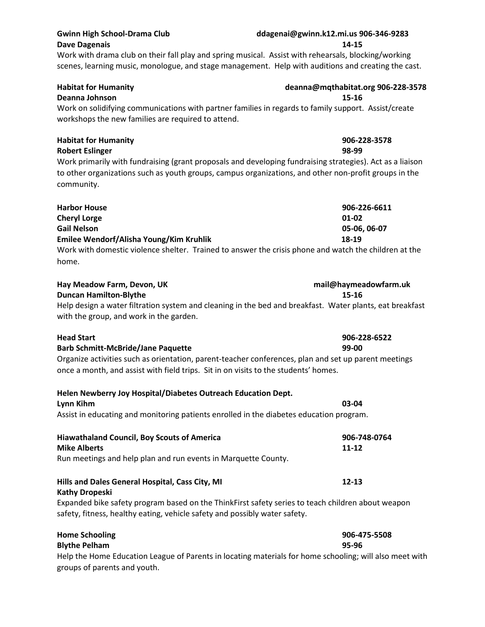| <b>Habitat for Humanity</b><br>Deanna Johnson                                                                                                                                                                                    | deanna@mqthabitat.org 906-228-3578<br>$15 - 16$ |
|----------------------------------------------------------------------------------------------------------------------------------------------------------------------------------------------------------------------------------|-------------------------------------------------|
| Work on solidifying communications with partner families in regards to family support. Assist/create<br>workshops the new families are required to attend.                                                                       |                                                 |
| <b>Habitat for Humanity</b><br><b>Robert Eslinger</b>                                                                                                                                                                            | 906-228-3578<br>98-99                           |
| Work primarily with fundraising (grant proposals and developing fundraising strategies). Act as a liaison<br>to other organizations such as youth groups, campus organizations, and other non-profit groups in the<br>community. |                                                 |
| <b>Harbor House</b>                                                                                                                                                                                                              | 906-226-6611                                    |
| <b>Cheryl Lorge</b>                                                                                                                                                                                                              | $01 - 02$                                       |
| <b>Gail Nelson</b>                                                                                                                                                                                                               | 05-06, 06-07<br>18-19                           |
| Emilee Wendorf/Alisha Young/Kim Kruhlik<br>Work with domestic violence shelter. Trained to answer the crisis phone and watch the children at the<br>home.                                                                        |                                                 |
| Hay Meadow Farm, Devon, UK                                                                                                                                                                                                       | mail@haymeadowfarm.uk                           |
| <b>Duncan Hamilton-Blythe</b><br>Help design a water filtration system and cleaning in the bed and breakfast. Water plants, eat breakfast<br>with the group, and work in the garden.                                             | $15 - 16$                                       |
| <b>Head Start</b>                                                                                                                                                                                                                | 906-228-6522                                    |
| <b>Barb Schmitt-McBride/Jane Paquette</b>                                                                                                                                                                                        | 99-00                                           |
| Organize activities such as orientation, parent-teacher conferences, plan and set up parent meetings<br>once a month, and assist with field trips. Sit in on visits to the students' homes.                                      |                                                 |
| Helen Newberry Joy Hospital/Diabetes Outreach Education Dept.                                                                                                                                                                    |                                                 |
| Lynn Kihm                                                                                                                                                                                                                        | 03-04                                           |
| Assist in educating and monitoring patients enrolled in the diabetes education program.                                                                                                                                          |                                                 |
| <b>Hiawathaland Council, Boy Scouts of America</b>                                                                                                                                                                               | 906-748-0764                                    |
| <b>Mike Alberts</b>                                                                                                                                                                                                              | $11 - 12$                                       |
| Run meetings and help plan and run events in Marquette County.                                                                                                                                                                   |                                                 |
| Hills and Dales General Hospital, Cass City, MI<br><b>Kathy Dropeski</b>                                                                                                                                                         | $12 - 13$                                       |
| Expanded bike safety program based on the ThinkFirst safety series to teach children about weapon                                                                                                                                |                                                 |
| safety, fitness, healthy eating, vehicle safety and possibly water safety.                                                                                                                                                       |                                                 |

**Home Schooling 906-475-5508 Blythe Pelham 95-96** Help the Home Education League of Parents in locating materials for home schooling; will also meet with groups of parents and youth.

### **Gwinn High School-Drama Club ddagenai@gwinn.k12.mi.us 906-346-9283 Dave Dagenais 14-15**

Work with drama club on their fall play and spring musical. Assist with rehearsals, blocking/working scenes, learning music, monologue, and stage management. Help with auditions and creating the cast.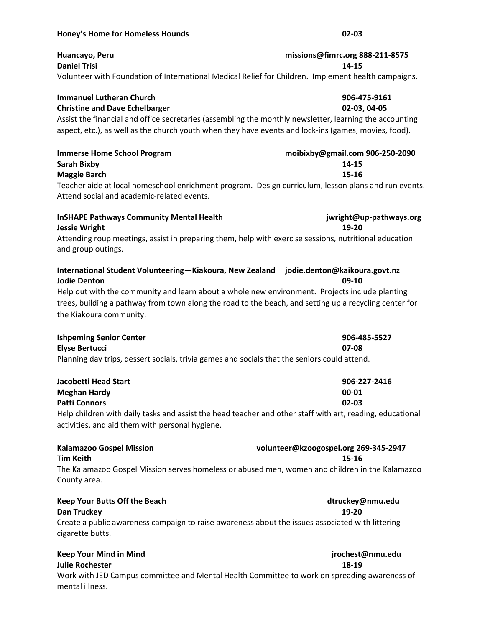### **Honey's Home for Homeless Hounds 02-03**

| Huancayo, Peru<br><b>Daniel Trisi</b>                                                                                                                                                                                                                                                                                                                | missions@fimrc.org 888-211-8575<br>14-15          |
|------------------------------------------------------------------------------------------------------------------------------------------------------------------------------------------------------------------------------------------------------------------------------------------------------------------------------------------------------|---------------------------------------------------|
| Volunteer with Foundation of International Medical Relief for Children. Implement health campaigns.                                                                                                                                                                                                                                                  |                                                   |
| <b>Immanuel Lutheran Church</b><br><b>Christine and Dave Echelbarger</b><br>Assist the financial and office secretaries (assembling the monthly newsletter, learning the accounting<br>aspect, etc.), as well as the church youth when they have events and lock-ins (games, movies, food).                                                          | 906-475-9161<br>02-03, 04-05                      |
| <b>Immerse Home School Program</b><br><b>Sarah Bixby</b><br><b>Maggie Barch</b>                                                                                                                                                                                                                                                                      | moibixby@gmail.com 906-250-2090<br>14-15<br>15-16 |
| Teacher aide at local homeschool enrichment program. Design curriculum, lesson plans and run events.<br>Attend social and academic-related events.                                                                                                                                                                                                   |                                                   |
| <b>InSHAPE Pathways Community Mental Health</b><br><b>Jessie Wright</b><br>Attending roup meetings, assist in preparing them, help with exercise sessions, nutritional education                                                                                                                                                                     | jwright@up-pathways.org<br>19-20                  |
| and group outings.                                                                                                                                                                                                                                                                                                                                   |                                                   |
| International Student Volunteering-Kiakoura, New Zealand jodie.denton@kaikoura.govt.nz<br><b>Jodie Denton</b><br>Help out with the community and learn about a whole new environment. Projects include planting<br>trees, building a pathway from town along the road to the beach, and setting up a recycling center for<br>the Kiakoura community. | 09-10                                             |
| <b>Ishpeming Senior Center</b><br><b>Elyse Bertucci</b><br>Planning day trips, dessert socials, trivia games and socials that the seniors could attend.                                                                                                                                                                                              | 906-485-5527<br>07-08                             |
| <b>Jacobetti Head Start</b><br><b>Meghan Hardy</b><br>Patti Connors                                                                                                                                                                                                                                                                                  | 906-227-2416<br>00-01<br>02-03                    |
| Help children with daily tasks and assist the head teacher and other staff with art, reading, educational<br>activities, and aid them with personal hygiene.                                                                                                                                                                                         |                                                   |
| <b>Kalamazoo Gospel Mission</b><br><b>Tim Keith</b>                                                                                                                                                                                                                                                                                                  | volunteer@kzoogospel.org 269-345-2947<br>15-16    |
| The Kalamazoo Gospel Mission serves homeless or abused men, women and children in the Kalamazoo<br>County area.                                                                                                                                                                                                                                      |                                                   |
| <b>Keep Your Butts Off the Beach</b><br><b>Dan Truckey</b>                                                                                                                                                                                                                                                                                           | dtruckey@nmu.edu<br>19-20                         |
| Create a public awareness campaign to raise awareness about the issues associated with littering<br>cigarette butts.                                                                                                                                                                                                                                 |                                                   |
| <b>Keep Your Mind in Mind</b><br><b>Julie Rochester</b>                                                                                                                                                                                                                                                                                              | jrochest@nmu.edu<br>18-19                         |

Work with JED Campus committee and Mental Health Committee to work on spreading awareness of mental illness.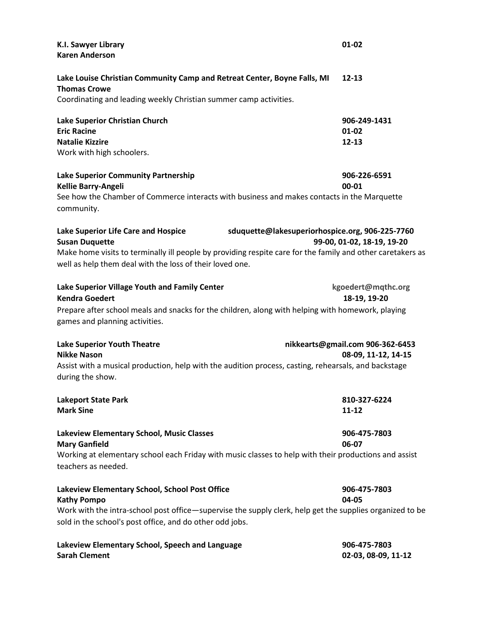| K.I. Sawyer Library<br><b>Karen Anderson</b>                                                                                                                                                                                                                                              | 01-02                                                   |
|-------------------------------------------------------------------------------------------------------------------------------------------------------------------------------------------------------------------------------------------------------------------------------------------|---------------------------------------------------------|
| Lake Louise Christian Community Camp and Retreat Center, Boyne Falls, MI<br><b>Thomas Crowe</b><br>Coordinating and leading weekly Christian summer camp activities.                                                                                                                      | $12 - 13$                                               |
| Lake Superior Christian Church<br><b>Eric Racine</b><br><b>Natalie Kizzire</b><br>Work with high schoolers.                                                                                                                                                                               | 906-249-1431<br>$01 - 02$<br>$12 - 13$                  |
| Lake Superior Community Partnership<br>Kellie Barry-Angeli<br>See how the Chamber of Commerce interacts with business and makes contacts in the Marquette<br>community.                                                                                                                   | 906-226-6591<br>00-01                                   |
| Lake Superior Life Care and Hospice<br>sduquette@lakesuperiorhospice.org, 906-225-7760<br><b>Susan Duquette</b><br>Make home visits to terminally ill people by providing respite care for the family and other caretakers as<br>well as help them deal with the loss of their loved one. | 99-00, 01-02, 18-19, 19-20                              |
| Lake Superior Village Youth and Family Center<br><b>Kendra Goedert</b><br>Prepare after school meals and snacks for the children, along with helping with homework, playing<br>games and planning activities.                                                                             | kgoedert@mqthc.org<br>18-19, 19-20                      |
| <b>Lake Superior Youth Theatre</b><br><b>Nikke Nason</b><br>Assist with a musical production, help with the audition process, casting, rehearsals, and backstage<br>during the show.                                                                                                      | nikkearts@gmail.com 906-362-6453<br>08-09, 11-12, 14-15 |
| <b>Lakeport State Park</b><br><b>Mark Sine</b>                                                                                                                                                                                                                                            | 810-327-6224<br>$11 - 12$                               |
| Lakeview Elementary School, Music Classes<br><b>Mary Ganfield</b><br>Working at elementary school each Friday with music classes to help with their productions and assist<br>teachers as needed.                                                                                         | 906-475-7803<br>06-07                                   |
| Lakeview Elementary School, School Post Office<br><b>Kathy Pompo</b><br>Work with the intra-school post office—supervise the supply clerk, help get the supplies organized to be<br>sold in the school's post office, and do other odd jobs.                                              | 906-475-7803<br>04-05                                   |
| Lakeview Elementary School, Speech and Language<br><b>Sarah Clement</b>                                                                                                                                                                                                                   | 906-475-7803<br>02-03, 08-09, 11-12                     |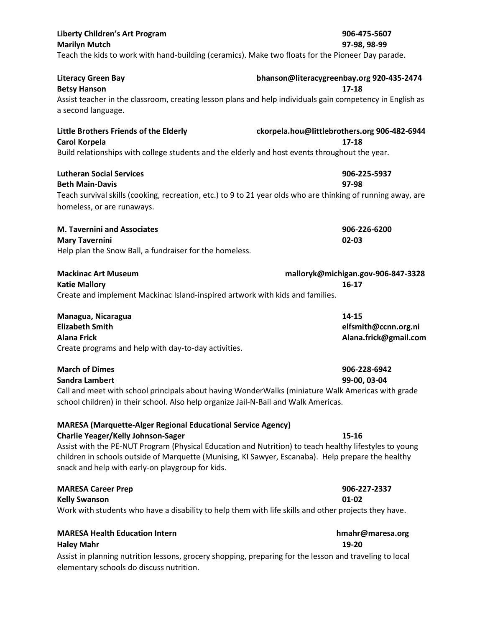| <b>Liberty Children's Art Program</b><br><b>Marilyn Mutch</b><br>Teach the kids to work with hand-building (ceramics). Make two floats for the Pioneer Day parade.                                                                                                                                                                                                                   | 906-475-5607<br>97-98, 98-99                              |
|--------------------------------------------------------------------------------------------------------------------------------------------------------------------------------------------------------------------------------------------------------------------------------------------------------------------------------------------------------------------------------------|-----------------------------------------------------------|
| <b>Literacy Green Bay</b><br><b>Betsy Hanson</b><br>Assist teacher in the classroom, creating lesson plans and help individuals gain competency in English as<br>a second language.                                                                                                                                                                                                  | bhanson@literacygreenbay.org 920-435-2474<br>17-18        |
| Little Brothers Friends of the Elderly<br><b>Carol Korpela</b><br>Build relationships with college students and the elderly and host events throughout the year.                                                                                                                                                                                                                     | ckorpela.hou@littlebrothers.org 906-482-6944<br>$17 - 18$ |
| <b>Lutheran Social Services</b><br><b>Beth Main-Davis</b><br>Teach survival skills (cooking, recreation, etc.) to 9 to 21 year olds who are thinking of running away, are<br>homeless, or are runaways.                                                                                                                                                                              | 906-225-5937<br>97-98                                     |
| <b>M. Tavernini and Associates</b><br><b>Mary Tavernini</b><br>Help plan the Snow Ball, a fundraiser for the homeless.                                                                                                                                                                                                                                                               | 906-226-6200<br>02-03                                     |
| <b>Mackinac Art Museum</b><br><b>Katie Mallory</b><br>Create and implement Mackinac Island-inspired artwork with kids and families.                                                                                                                                                                                                                                                  | malloryk@michigan.gov-906-847-3328<br>$16-17$             |
| Managua, Nicaragua<br><b>Elizabeth Smith</b><br><b>Alana Frick</b><br>Create programs and help with day-to-day activities.                                                                                                                                                                                                                                                           | 14-15<br>elfsmith@ccnn.org.ni<br>Alana.frick@gmail.com    |
| <b>March of Dimes</b><br><b>Sandra Lambert</b><br>Call and meet with school principals about having WonderWalks (miniature Walk Americas with grade<br>school children) in their school. Also help organize Jail-N-Bail and Walk Americas.                                                                                                                                           | 906-228-6942<br>99-00, 03-04                              |
| <b>MARESA (Marquette-Alger Regional Educational Service Agency)</b><br><b>Charlie Yeager/Kelly Johnson-Sager</b><br>Assist with the PE-NUT Program (Physical Education and Nutrition) to teach healthy lifestyles to young<br>children in schools outside of Marquette (Munising, KI Sawyer, Escanaba). Help prepare the healthy<br>snack and help with early-on playgroup for kids. | 15-16                                                     |
| <b>MARESA Career Prep</b><br><b>Kelly Swanson</b><br>Work with students who have a disability to help them with life skills and other projects they have.                                                                                                                                                                                                                            | 906-227-2337<br>01-02                                     |
| <b>MARESA Health Education Intern</b><br><b>Haley Mahr</b><br>Assist in planning nutrition lessons, grocery shopping, preparing for the lesson and traveling to local<br>elementary schools do discuss nutrition.                                                                                                                                                                    | hmahr@maresa.org<br>19-20                                 |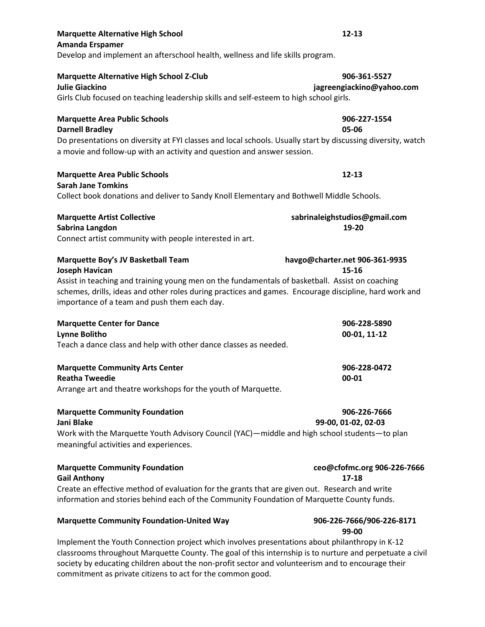| <b>Amanda Erspamer</b><br>Develop and implement an afterschool health, wellness and life skills program.                                                                                                                                                                                                                        |                                           |
|---------------------------------------------------------------------------------------------------------------------------------------------------------------------------------------------------------------------------------------------------------------------------------------------------------------------------------|-------------------------------------------|
| <b>Marquette Alternative High School Z-Club</b><br><b>Julie Giackino</b><br>Girls Club focused on teaching leadership skills and self-esteem to high school girls.                                                                                                                                                              | 906-361-5527<br>jagreengiackino@yahoo.com |
| <b>Marquette Area Public Schools</b><br><b>Darnell Bradley</b><br>Do presentations on diversity at FYI classes and local schools. Usually start by discussing diversity, watch<br>a movie and follow-up with an activity and question and answer session.                                                                       | 906-227-1554<br>05-06                     |
| <b>Marquette Area Public Schools</b><br><b>Sarah Jane Tomkins</b><br>Collect book donations and deliver to Sandy Knoll Elementary and Bothwell Middle Schools.                                                                                                                                                                  | $12 - 13$                                 |
| <b>Marquette Artist Collective</b><br>Sabrina Langdon<br>Connect artist community with people interested in art.                                                                                                                                                                                                                | sabrinaleighstudios@gmail.com<br>19-20    |
| <b>Marquette Boy's JV Basketball Team</b><br><b>Joseph Havican</b><br>Assist in teaching and training young men on the fundamentals of basketball. Assist on coaching<br>schemes, drills, ideas and other roles during practices and games. Encourage discipline, hard work and<br>importance of a team and push them each day. | havgo@charter.net 906-361-9935<br>15-16   |
| <b>Marquette Center for Dance</b><br><b>Lynne Bolitho</b><br>Teach a dance class and help with other dance classes as needed.                                                                                                                                                                                                   | 906-228-5890<br>00-01, 11-12              |
| <b>Marquette Community Arts Center</b><br><b>Reatha Tweedie</b><br>Arrange art and theatre workshops for the youth of Marquette.                                                                                                                                                                                                | 906-228-0472<br>00-01                     |
| <b>Marquette Community Foundation</b><br>Jani Blake<br>Work with the Marquette Youth Advisory Council (YAC)—middle and high school students—to plan<br>meaningful activities and experiences.                                                                                                                                   | 906-226-7666<br>99-00, 01-02, 02-03       |
| <b>Marquette Community Foundation</b><br><b>Gail Anthony</b><br>Create an effective method of evaluation for the grants that are given out. Research and write<br>information and stories behind each of the Community Foundation of Marquette County funds.                                                                    | ceo@cfofmc.org 906-226-7666<br>$17 - 18$  |
| <b>Marquette Community Foundation-United Way</b>                                                                                                                                                                                                                                                                                | 906-226-7666/906-226-8171<br>99-00        |

**Marquette Alternative High School 12-13**

Implement the Youth Connection project which involves presentations about philanthropy in K-12 classrooms throughout Marquette County. The goal of this internship is to nurture and perpetuate a civil society by educating children about the non-profit sector and volunteerism and to encourage their commitment as private citizens to act for the common good.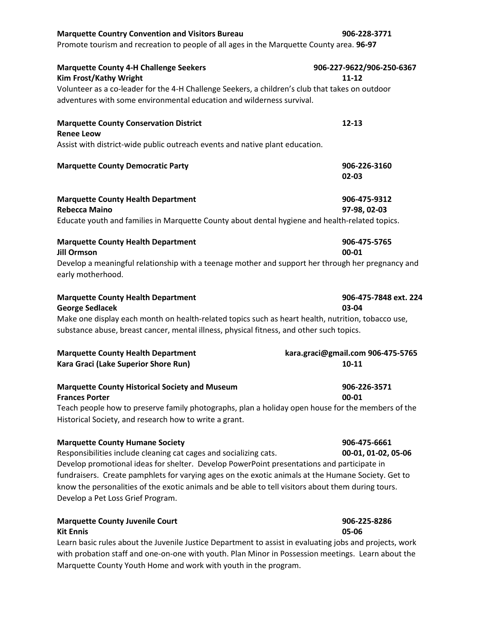| <b>Marquette Country Convention and Visitors Bureau</b>                                                                | 906-228-3771                      |
|------------------------------------------------------------------------------------------------------------------------|-----------------------------------|
| Promote tourism and recreation to people of all ages in the Marquette County area. 96-97                               |                                   |
| <b>Marquette County 4-H Challenge Seekers</b>                                                                          | 906-227-9622/906-250-6367         |
| <b>Kim Frost/Kathy Wright</b>                                                                                          | $11 - 12$                         |
| Volunteer as a co-leader for the 4-H Challenge Seekers, a children's club that takes on outdoor                        |                                   |
| adventures with some environmental education and wilderness survival.                                                  |                                   |
| <b>Marquette County Conservation District</b>                                                                          | $12 - 13$                         |
| <b>Renee Leow</b><br>Assist with district-wide public outreach events and native plant education.                      |                                   |
|                                                                                                                        |                                   |
| <b>Marquette County Democratic Party</b>                                                                               | 906-226-3160                      |
|                                                                                                                        | 02-03                             |
| <b>Marquette County Health Department</b>                                                                              | 906-475-9312                      |
| <b>Rebecca Maino</b>                                                                                                   | 97-98, 02-03                      |
| Educate youth and families in Marquette County about dental hygiene and health-related topics.                         |                                   |
| <b>Marquette County Health Department</b>                                                                              | 906-475-5765                      |
| <b>Jill Ormson</b>                                                                                                     | 00-01                             |
| Develop a meaningful relationship with a teenage mother and support her through her pregnancy and<br>early motherhood. |                                   |
| <b>Marquette County Health Department</b>                                                                              | 906-475-7848 ext. 224             |
| <b>George Sedlacek</b>                                                                                                 | 03-04                             |
| Make one display each month on health-related topics such as heart health, nutrition, tobacco use,                     |                                   |
| substance abuse, breast cancer, mental illness, physical fitness, and other such topics.                               |                                   |
| <b>Marquette County Health Department</b>                                                                              | kara.graci@gmail.com 906-475-5765 |
| Kara Graci (Lake Superior Shore Run)                                                                                   | $10 - 11$                         |
| <b>Marquette County Historical Society and Museum</b>                                                                  | 906-226-3571                      |
| <b>Frances Porter</b>                                                                                                  | 00-01                             |
| Teach people how to preserve family photographs, plan a holiday open house for the members of the                      |                                   |
| Historical Society, and research how to write a grant.                                                                 |                                   |
| <b>Marquette County Humane Society</b>                                                                                 | 906-475-6661                      |
| Responsibilities include cleaning cat cages and socializing cats.                                                      | 00-01, 01-02, 05-06               |
| Develop promotional ideas for shelter. Develop PowerPoint presentations and participate in                             |                                   |
| fundraisers. Create pamphlets for varying ages on the exotic animals at the Humane Society. Get to                     |                                   |
| know the personalities of the exotic animals and be able to tell visitors about them during tours.                     |                                   |
| Develop a Pet Loss Grief Program.                                                                                      |                                   |
| <b>Marquette County Juvenile Court</b>                                                                                 | 906-225-8286                      |
| <b>Kit Ennis</b>                                                                                                       | 05-06                             |
| Learn basic rules about the Juvenile Justice Department to assist in evaluating jobs and projects, work                |                                   |
| with probation staff and one-on-one with youth. Plan Minor in Possession meetings. Learn about the                     |                                   |

Marquette County Youth Home and work with youth in the program.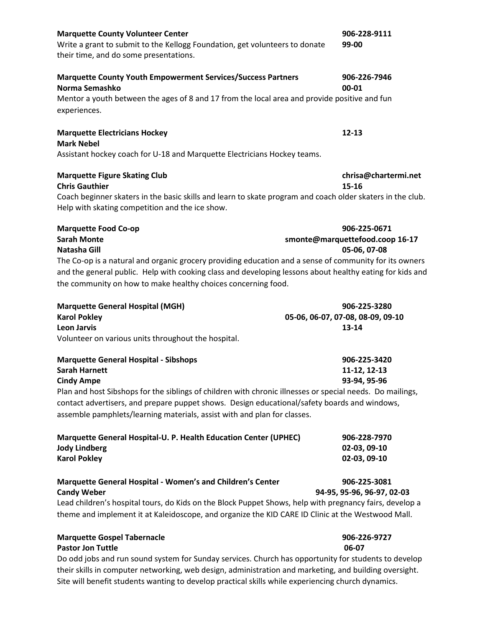| <b>Marquette County Volunteer Center</b>                                                                   | 906-228-9111                      |
|------------------------------------------------------------------------------------------------------------|-----------------------------------|
| Write a grant to submit to the Kellogg Foundation, get volunteers to donate                                | 99-00                             |
| their time, and do some presentations.                                                                     |                                   |
| <b>Marquette County Youth Empowerment Services/Success Partners</b>                                        | 906-226-7946                      |
| Norma Semashko                                                                                             | 00-01                             |
| Mentor a youth between the ages of 8 and 17 from the local area and provide positive and fun               |                                   |
| experiences.                                                                                               |                                   |
| <b>Marquette Electricians Hockey</b>                                                                       | $12 - 13$                         |
| <b>Mark Nebel</b>                                                                                          |                                   |
| Assistant hockey coach for U-18 and Marquette Electricians Hockey teams.                                   |                                   |
| <b>Marquette Figure Skating Club</b>                                                                       | chrisa@chartermi.net              |
| <b>Chris Gauthier</b>                                                                                      | 15-16                             |
| Coach beginner skaters in the basic skills and learn to skate program and coach older skaters in the club. |                                   |
| Help with skating competition and the ice show.                                                            |                                   |
| <b>Marquette Food Co-op</b>                                                                                | 906-225-0671                      |
| <b>Sarah Monte</b>                                                                                         | smonte@marquettefood.coop 16-17   |
| Natasha Gill                                                                                               | 05-06, 07-08                      |
| The Co-op is a natural and organic grocery providing education and a sense of community for its owners     |                                   |
| and the general public. Help with cooking class and developing lessons about healthy eating for kids and   |                                   |
| the community on how to make healthy choices concerning food.                                              |                                   |
| <b>Marquette General Hospital (MGH)</b>                                                                    | 906-225-3280                      |
| <b>Karol Pokley</b>                                                                                        | 05-06, 06-07, 07-08, 08-09, 09-10 |
| <b>Leon Jarvis</b>                                                                                         | 13-14                             |
| Volunteer on various units throughout the hospital.                                                        |                                   |

| Marquette General Hospital - Sibshops                                                                | 906-225-3420 |
|------------------------------------------------------------------------------------------------------|--------------|
| Sarah Harnett                                                                                        | 11-12. 12-13 |
| Cindy Ampe                                                                                           | 93-94. 95-96 |
| Dlan and bost Sibshons for the siblings of children with chronic illnesses or special needs. Do mail |              |

Plan and host Sibshops for the siblings of children with chronic illnesses or special needs. Do mailings, contact advertisers, and prepare puppet shows. Design educational/safety boards and windows, assemble pamphlets/learning materials, assist with and plan for classes.

| Marquette General Hospital-U. P. Health Education Center (UPHEC) | 906-228-7970 |
|------------------------------------------------------------------|--------------|
| Jody Lindberg                                                    | 02-03.09-10  |
| <b>Karol Pokley</b>                                              | 02-03.09-10  |

# **Marquette General Hospital - Women's and Children's Center 906-225-3081 Candy Weber 94-95, 95-96, 96-97, 02-03**

Lead children's hospital tours, do Kids on the Block Puppet Shows, help with pregnancy fairs, develop a theme and implement it at Kaleidoscope, and organize the KID CARE ID Clinic at the Westwood Mall.

### **Marquette Gospel Tabernacle 906-226-9727 Pastor Jon Tuttle 06-07**

Do odd jobs and run sound system for Sunday services. Church has opportunity for students to develop their skills in computer networking, web design, administration and marketing, and building oversight. Site will benefit students wanting to develop practical skills while experiencing church dynamics.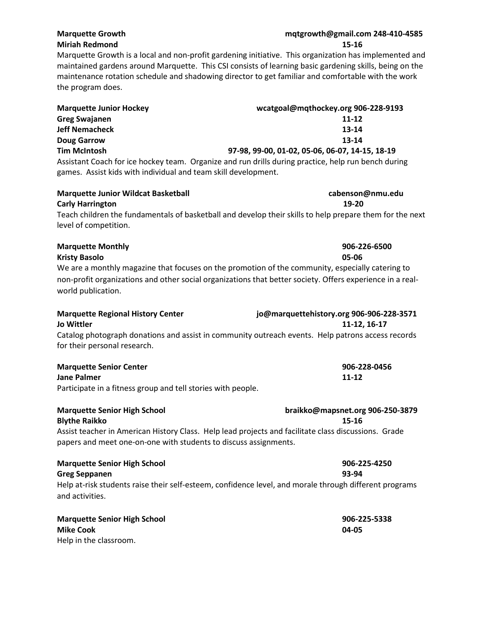### **Marquette Growth mqtgrowth@gmail.com 248-410-4585 Miriah Redmond 15-16**

Marquette Growth is a local and non-profit gardening initiative. This organization has implemented and maintained gardens around Marquette. This CSI consists of learning basic gardening skills, being on the maintenance rotation schedule and shadowing director to get familiar and comfortable with the work the program does.

| <b>Marquette Junior Hockey</b>                                 | wcatgoal@mqthockey.org 906-228-9193                                                                 |
|----------------------------------------------------------------|-----------------------------------------------------------------------------------------------------|
| <b>Greg Swajanen</b>                                           | 11-12                                                                                               |
| <b>Jeff Nemacheck</b>                                          | 13-14                                                                                               |
| <b>Doug Garrow</b>                                             | 13-14                                                                                               |
| <b>Tim McIntosh</b>                                            | 97-98, 99-00, 01-02, 05-06, 06-07, 14-15, 18-19                                                     |
|                                                                | Assistant Coach for ice hockey team. Organize and run drills during practice, help run bench during |
| games. Assist kids with individual and team skill development. |                                                                                                     |

| <b>Marquette Junior Wildcat Basketball</b>                                                                                        | cabenson@nmu.edu |
|-----------------------------------------------------------------------------------------------------------------------------------|------------------|
| <b>Carly Harrington</b>                                                                                                           | 19-20            |
| Teach children the fundamentals of basketball and develop their skills to help prepare them for the next<br>level of competition. |                  |

| <b>Marquette Monthly</b>                                                                                  | 906-226-6500 |
|-----------------------------------------------------------------------------------------------------------|--------------|
| Kristy Basolo                                                                                             | 05-06        |
| We are a monthly magazine that focuses on the promotion of the community, especially catering to          |              |
| non-profit organizations and other social organizations that better society. Offers experience in a real- |              |
| world publication.                                                                                        |              |

| <b>Marquette Regional History Center</b> | jo@marquettehistory.org 906-906-228-3571                                                          |
|------------------------------------------|---------------------------------------------------------------------------------------------------|
| Jo Wittler                               | 11-12.16-17                                                                                       |
| for their personal research.             | Catalog photograph donations and assist in community outreach events. Help patrons access records |
| <b>Marquette Senior Center</b>           | 906-228-0456                                                                                      |

| <b>IVIdIQUELLE SEIIIOI CEIILEI</b>                           | 200-220-0431 |
|--------------------------------------------------------------|--------------|
| Jane Palmer                                                  | 11-12        |
| Participate in a fitness group and tell stories with people. |              |

| <b>Marquette Senior High School</b>                                                                                                                                      | braikko@mapsnet.org 906-250-3879 |
|--------------------------------------------------------------------------------------------------------------------------------------------------------------------------|----------------------------------|
| <b>Blythe Raikko</b>                                                                                                                                                     | 15-16                            |
| Assist teacher in American History Class. Help lead projects and facilitate class discussions. Grade<br>papers and meet one-on-one with students to discuss assignments. |                                  |
| <b>Marquette Senior High School</b>                                                                                                                                      | 906-225-4250                     |

**Greg Seppanen** 93-94 Help at-risk students raise their self-esteem, confidence level, and morale through different programs and activities.

| <b>Marquette Senior High School</b> | 906-225-5338 |
|-------------------------------------|--------------|
| Mike Cook                           | 04-05        |
| Help in the classroom.              |              |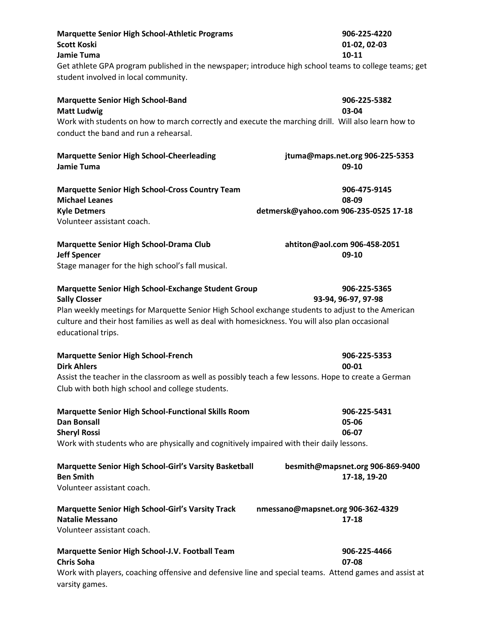| <b>Marquette Senior High School-Athletic Programs</b><br><b>Scott Koski</b><br><b>Jamie Tuma</b>                                                                                                                                                                                                           | 906-225-4220<br>01-02, 02-03<br>$10 - 11$                      |
|------------------------------------------------------------------------------------------------------------------------------------------------------------------------------------------------------------------------------------------------------------------------------------------------------------|----------------------------------------------------------------|
| Get athlete GPA program published in the newspaper; introduce high school teams to college teams; get<br>student involved in local community.                                                                                                                                                              |                                                                |
| <b>Marquette Senior High School-Band</b><br><b>Matt Ludwig</b><br>Work with students on how to march correctly and execute the marching drill. Will also learn how to<br>conduct the band and run a rehearsal.                                                                                             | 906-225-5382<br>03-04                                          |
| <b>Marquette Senior High School-Cheerleading</b><br>Jamie Tuma                                                                                                                                                                                                                                             | jtuma@maps.net.org 906-225-5353<br>09-10                       |
| <b>Marquette Senior High School-Cross Country Team</b><br><b>Michael Leanes</b><br><b>Kyle Detmers</b>                                                                                                                                                                                                     | 906-475-9145<br>08-09<br>detmersk@yahoo.com 906-235-0525 17-18 |
| Volunteer assistant coach.                                                                                                                                                                                                                                                                                 |                                                                |
| Marquette Senior High School-Drama Club<br><b>Jeff Spencer</b><br>Stage manager for the high school's fall musical.                                                                                                                                                                                        | ahtiton@aol.com 906-458-2051<br>09-10                          |
| Marquette Senior High School-Exchange Student Group<br><b>Sally Closser</b><br>Plan weekly meetings for Marquette Senior High School exchange students to adjust to the American<br>culture and their host families as well as deal with homesickness. You will also plan occasional<br>educational trips. | 906-225-5365<br>93-94, 96-97, 97-98                            |
| <b>Marquette Senior High School-French</b><br><b>Dirk Ahlers</b>                                                                                                                                                                                                                                           | 906-225-5353<br>00-01                                          |
| Assist the teacher in the classroom as well as possibly teach a few lessons. Hope to create a German<br>Club with both high school and college students.                                                                                                                                                   |                                                                |
| <b>Marquette Senior High School-Functional Skills Room</b><br><b>Dan Bonsall</b><br><b>Sheryl Rossi</b><br>Work with students who are physically and cognitively impaired with their daily lessons.                                                                                                        | 906-225-5431<br>05-06<br>06-07                                 |
| <b>Marquette Senior High School-Girl's Varsity Basketball</b><br><b>Ben Smith</b><br>Volunteer assistant coach.                                                                                                                                                                                            | besmith@mapsnet.org 906-869-9400<br>17-18, 19-20               |
| <b>Marquette Senior High School-Girl's Varsity Track</b><br>nmessano@mapsnet.org 906-362-4329<br><b>Natalie Messano</b><br>Volunteer assistant coach.                                                                                                                                                      | $17 - 18$                                                      |
| Marquette Senior High School-J.V. Football Team<br><b>Chris Soha</b><br>Work with players, coaching offensive and defensive line and special teams. Attend games and assist at<br>varsity games.                                                                                                           | 906-225-4466<br>07-08                                          |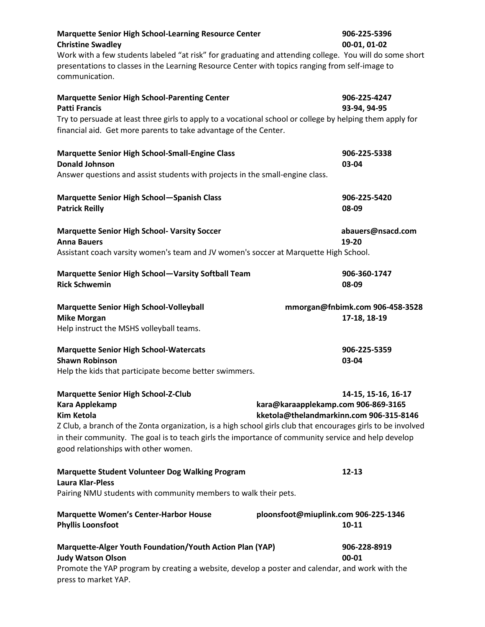| <b>Marquette Senior High School-Learning Resource Center</b><br><b>Christine Swadley</b><br>Work with a few students labeled "at risk" for graduating and attending college. You will do some short<br>presentations to classes in the Learning Resource Center with topics ranging from self-image to<br>communication.                         |                                                                                | 906-225-5396<br>00-01, 01-02                    |
|--------------------------------------------------------------------------------------------------------------------------------------------------------------------------------------------------------------------------------------------------------------------------------------------------------------------------------------------------|--------------------------------------------------------------------------------|-------------------------------------------------|
| <b>Marquette Senior High School-Parenting Center</b><br><b>Patti Francis</b>                                                                                                                                                                                                                                                                     |                                                                                | 906-225-4247<br>93-94, 94-95                    |
| Try to persuade at least three girls to apply to a vocational school or college by helping them apply for<br>financial aid. Get more parents to take advantage of the Center.                                                                                                                                                                    |                                                                                |                                                 |
| <b>Marquette Senior High School-Small-Engine Class</b><br><b>Donald Johnson</b>                                                                                                                                                                                                                                                                  |                                                                                | 906-225-5338<br>03-04                           |
| Answer questions and assist students with projects in the small-engine class.                                                                                                                                                                                                                                                                    |                                                                                |                                                 |
| <b>Marquette Senior High School-Spanish Class</b><br><b>Patrick Reilly</b>                                                                                                                                                                                                                                                                       |                                                                                | 906-225-5420<br>08-09                           |
| <b>Marquette Senior High School- Varsity Soccer</b><br><b>Anna Bauers</b>                                                                                                                                                                                                                                                                        |                                                                                | abauers@nsacd.com<br>19-20                      |
| Assistant coach varsity women's team and JV women's soccer at Marquette High School.                                                                                                                                                                                                                                                             |                                                                                |                                                 |
| <b>Marquette Senior High School-Varsity Softball Team</b><br><b>Rick Schwemin</b>                                                                                                                                                                                                                                                                |                                                                                | 906-360-1747<br>08-09                           |
| <b>Marquette Senior High School-Volleyball</b><br><b>Mike Morgan</b>                                                                                                                                                                                                                                                                             |                                                                                | mmorgan@fnbimk.com 906-458-3528<br>17-18, 18-19 |
| Help instruct the MSHS volleyball teams.                                                                                                                                                                                                                                                                                                         |                                                                                |                                                 |
| <b>Marquette Senior High School-Watercats</b><br><b>Shawn Robinson</b><br>Help the kids that participate become better swimmers.                                                                                                                                                                                                                 |                                                                                | 906-225-5359<br>03-04                           |
| <b>Marquette Senior High School-Z-Club</b><br>Kara Applekamp<br><b>Kim Ketola</b><br>Z Club, a branch of the Zonta organization, is a high school girls club that encourages girls to be involved<br>in their community. The goal is to teach girls the importance of community service and help develop<br>good relationships with other women. | kara@karaapplekamp.com 906-869-3165<br>kketola@thelandmarkinn.com 906-315-8146 | 14-15, 15-16, 16-17                             |
| <b>Marquette Student Volunteer Dog Walking Program</b><br><b>Laura Klar-Pless</b>                                                                                                                                                                                                                                                                |                                                                                | $12 - 13$                                       |
| Pairing NMU students with community members to walk their pets.                                                                                                                                                                                                                                                                                  |                                                                                |                                                 |
| <b>Marquette Women's Center-Harbor House</b><br><b>Phyllis Loonsfoot</b>                                                                                                                                                                                                                                                                         | ploonsfoot@miuplink.com 906-225-1346                                           | $10 - 11$                                       |
| Marquette-Alger Youth Foundation/Youth Action Plan (YAP)<br><b>Judy Watson Olson</b><br>Promote the YAP program by creating a website, develop a poster and calendar, and work with the<br>press to market YAP.                                                                                                                                  |                                                                                | 906-228-8919<br>00-01                           |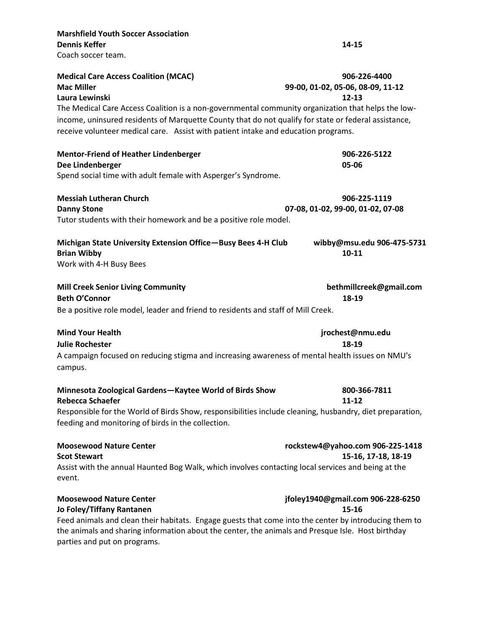| <b>Marshfield Youth Soccer Association</b>                                                                   |                                   |
|--------------------------------------------------------------------------------------------------------------|-----------------------------------|
| <b>Dennis Keffer</b>                                                                                         | 14-15                             |
| Coach soccer team.                                                                                           |                                   |
| <b>Medical Care Access Coalition (MCAC)</b>                                                                  | 906-226-4400                      |
| <b>Mac Miller</b>                                                                                            | 99-00, 01-02, 05-06, 08-09, 11-12 |
| Laura Lewinski                                                                                               | $12 - 13$                         |
| The Medical Care Access Coalition is a non-governmental community organization that helps the low-           |                                   |
| income, uninsured residents of Marquette County that do not qualify for state or federal assistance,         |                                   |
| receive volunteer medical care. Assist with patient intake and education programs.                           |                                   |
| <b>Mentor-Friend of Heather Lindenberger</b>                                                                 | 906-226-5122                      |
| Dee Lindenberger                                                                                             | 05-06                             |
| Spend social time with adult female with Asperger's Syndrome.                                                |                                   |
| <b>Messiah Lutheran Church</b>                                                                               | 906-225-1119                      |
| <b>Danny Stone</b>                                                                                           | 07-08, 01-02, 99-00, 01-02, 07-08 |
| Tutor students with their homework and be a positive role model.                                             |                                   |
| Michigan State University Extension Office-Busy Bees 4-H Club                                                | wibby@msu.edu 906-475-5731        |
| <b>Brian Wibby</b>                                                                                           | $10 - 11$                         |
| Work with 4-H Busy Bees                                                                                      |                                   |
| <b>Mill Creek Senior Living Community</b>                                                                    | bethmillcreek@gmail.com           |
| <b>Beth O'Connor</b>                                                                                         | 18-19                             |
| Be a positive role model, leader and friend to residents and staff of Mill Creek.                            |                                   |
| <b>Mind Your Health</b>                                                                                      | jrochest@nmu.edu                  |
| <b>Julie Rochester</b>                                                                                       | 18-19                             |
| A campaign focused on reducing stigma and increasing awareness of mental health issues on NMU's<br>campus.   |                                   |
| Minnesota Zoological Gardens-Kaytee World of Birds Show<br><b>Rebecca Schaefer</b>                           | 800-366-7811<br>11-12             |
| Responsible for the World of Birds Show, responsibilities include cleaning, husbandry, diet preparation,     |                                   |
| feeding and monitoring of birds in the collection.                                                           |                                   |
| <b>Moosewood Nature Center</b>                                                                               | rockstew4@yahoo.com 906-225-1418  |
| <b>Scot Stewart</b>                                                                                          | 15-16, 17-18, 18-19               |
| Assist with the annual Haunted Bog Walk, which involves contacting local services and being at the<br>event. |                                   |
| <b>Moosewood Nature Center</b>                                                                               | jfoley1940@gmail.com 906-228-6250 |
| Jo Foley/Tiffany Rantanen                                                                                    | 15-16                             |
| Feed animals and clean their habitats. Engage guests that come into the center by introducing them to        |                                   |

the animals and sharing information about the center, the animals and Presque Isle. Host birthday parties and put on programs.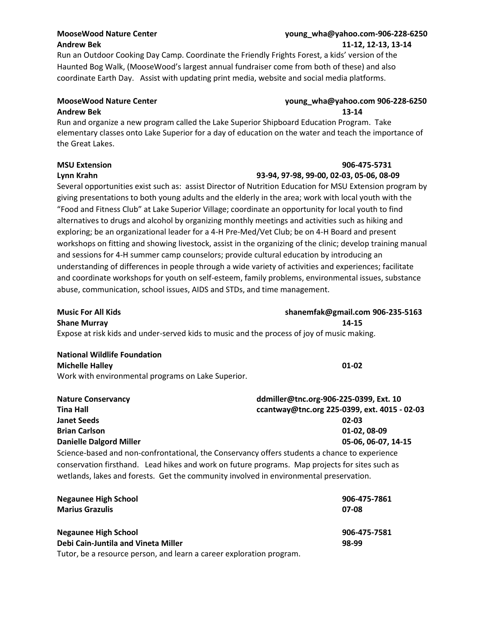# **Andrew Bek 11-12, 12-13, 13-14**

### **MooseWood Nature Center young\_wha@yahoo.com-906-228-6250**

Run an Outdoor Cooking Day Camp. Coordinate the Friendly Frights Forest, a kids' version of the Haunted Bog Walk, (MooseWood's largest annual fundraiser come from both of these) and also coordinate Earth Day. Assist with updating print media, website and social media platforms.

### **MooseWood Nature Center young\_wha@yahoo.com 906-228-6250 Andrew Bek 13-14**

Run and organize a new program called the Lake Superior Shipboard Education Program. Take elementary classes onto Lake Superior for a day of education on the water and teach the importance of the Great Lakes.

### **MSU Extension 906-475-5731**

### **Lynn Krahn 93-94, 97-98, 99-00, 02-03, 05-06, 08-09**

Several opportunities exist such as: assist Director of Nutrition Education for MSU Extension program by giving presentations to both young adults and the elderly in the area; work with local youth with the "Food and Fitness Club" at Lake Superior Village; coordinate an opportunity for local youth to find alternatives to drugs and alcohol by organizing monthly meetings and activities such as hiking and exploring; be an organizational leader for a 4-H Pre-Med/Vet Club; be on 4-H Board and present workshops on fitting and showing livestock, assist in the organizing of the clinic; develop training manual and sessions for 4-H summer camp counselors; provide cultural education by introducing an understanding of differences in people through a wide variety of activities and experiences; facilitate and coordinate workshops for youth on self-esteem, family problems, environmental issues, substance abuse, communication, school issues, AIDS and STDs, and time management.

**Music For All Kids shanemfak@gmail.com 906-235-5163 Shane Murray 14-15** Expose at risk kids and under-served kids to music and the process of joy of music making.

### **National Wildlife Foundation Michelle Halley 01-02**

Work with environmental programs on Lake Superior.

| <b>Nature Conservancy</b>                                                                                                                                                                | ddmiller@tnc.org-906-225-0399, Ext. 10       |  |
|------------------------------------------------------------------------------------------------------------------------------------------------------------------------------------------|----------------------------------------------|--|
| <b>Tina Hall</b>                                                                                                                                                                         | ccantway@tnc.org 225-0399, ext. 4015 - 02-03 |  |
| <b>Janet Seeds</b>                                                                                                                                                                       | $02 - 03$                                    |  |
| <b>Brian Carlson</b>                                                                                                                                                                     | 01-02, 08-09                                 |  |
| <b>Danielle Dalgord Miller</b>                                                                                                                                                           | 05-06, 06-07, 14-15                          |  |
| Science-based and non-confrontational, the Conservancy offers students a chance to experience                                                                                            |                                              |  |
| conservation firsthand. Lead hikes and work on future programs. Map projects for sites such as<br>wetlands, lakes and forests. Get the community involved in environmental preservation. |                                              |  |

| <b>Negaunee High School</b>                                          | 906-475-7861 |
|----------------------------------------------------------------------|--------------|
| <b>Marius Grazulis</b>                                               | 07-08        |
| <b>Negaunee High School</b>                                          | 906-475-7581 |
| Debi Cain-Juntila and Vineta Miller                                  | 98-99        |
| Tutor, be a resource person, and learn a career exploration program. |              |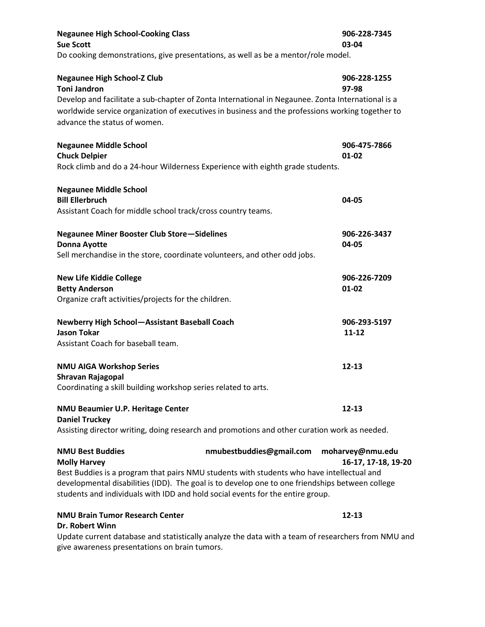| <b>Negaunee High School-Cooking Class</b><br><b>Sue Scott</b>                                                                                                                                                                                                                                                                    |                          | 906-228-7345<br>03-04                   |
|----------------------------------------------------------------------------------------------------------------------------------------------------------------------------------------------------------------------------------------------------------------------------------------------------------------------------------|--------------------------|-----------------------------------------|
| Do cooking demonstrations, give presentations, as well as be a mentor/role model.                                                                                                                                                                                                                                                |                          |                                         |
| <b>Negaunee High School-Z Club</b><br><b>Toni Jandron</b><br>Develop and facilitate a sub-chapter of Zonta International in Negaunee. Zonta International is a<br>worldwide service organization of executives in business and the professions working together to<br>advance the status of women.                               |                          | 906-228-1255<br>97-98                   |
| <b>Negaunee Middle School</b><br><b>Chuck Delpier</b><br>Rock climb and do a 24-hour Wilderness Experience with eighth grade students.                                                                                                                                                                                           |                          | 906-475-7866<br>$01 - 02$               |
| <b>Negaunee Middle School</b><br><b>Bill Ellerbruch</b><br>Assistant Coach for middle school track/cross country teams.                                                                                                                                                                                                          |                          | 04-05                                   |
| <b>Negaunee Miner Booster Club Store-Sidelines</b><br><b>Donna Ayotte</b><br>Sell merchandise in the store, coordinate volunteers, and other odd jobs.                                                                                                                                                                           |                          | 906-226-3437<br>04-05                   |
| <b>New Life Kiddie College</b><br><b>Betty Anderson</b><br>Organize craft activities/projects for the children.                                                                                                                                                                                                                  |                          | 906-226-7209<br>$01 - 02$               |
| <b>Newberry High School-Assistant Baseball Coach</b><br><b>Jason Tokar</b><br>Assistant Coach for baseball team.                                                                                                                                                                                                                 |                          | 906-293-5197<br>$11 - 12$               |
| <b>NMU AIGA Workshop Series</b><br>Shravan Rajagopal<br>Coordinating a skill building workshop series related to arts.                                                                                                                                                                                                           |                          | $12 - 13$                               |
| NMU Beaumier U.P. Heritage Center<br><b>Daniel Truckey</b><br>Assisting director writing, doing research and promotions and other curation work as needed.                                                                                                                                                                       |                          | $12 - 13$                               |
| <b>NMU Best Buddies</b><br><b>Molly Harvey</b><br>Best Buddies is a program that pairs NMU students with students who have intellectual and<br>developmental disabilities (IDD). The goal is to develop one to one friendships between college<br>students and individuals with IDD and hold social events for the entire group. | nmubestbuddies@gmail.com | moharvey@nmu.edu<br>16-17, 17-18, 19-20 |
| <b>NMU Brain Tumor Research Center</b><br>Dr. Robert Winn                                                                                                                                                                                                                                                                        |                          | $12 - 13$                               |

Update current database and statistically analyze the data with a team of researchers from NMU and give awareness presentations on brain tumors.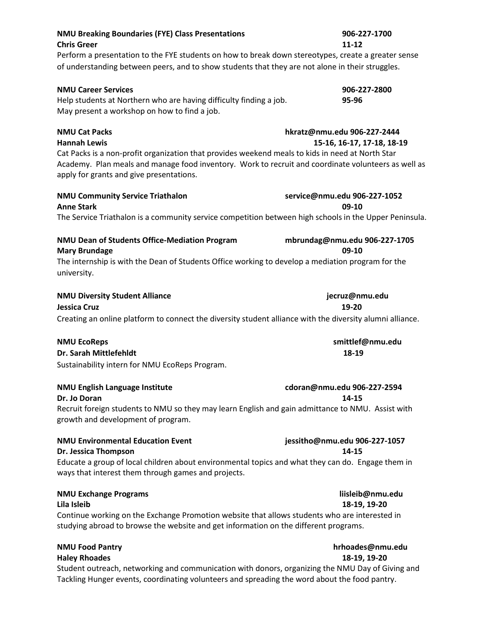| <b>NMU Breaking Boundaries (FYE) Class Presentations</b><br><b>Chris Greer</b><br>Perform a presentation to the FYE students on how to break down stereotypes, create a greater sense<br>of understanding between peers, and to show students that they are not alone in their struggles.          | 906-227-1700<br>$11 - 12$                                 |
|----------------------------------------------------------------------------------------------------------------------------------------------------------------------------------------------------------------------------------------------------------------------------------------------------|-----------------------------------------------------------|
| <b>NMU Career Services</b><br>Help students at Northern who are having difficulty finding a job.<br>May present a workshop on how to find a job.                                                                                                                                                   | 906-227-2800<br>95-96                                     |
| <b>NMU Cat Packs</b><br><b>Hannah Lewis</b><br>Cat Packs is a non-profit organization that provides weekend meals to kids in need at North Star<br>Academy. Plan meals and manage food inventory. Work to recruit and coordinate volunteers as well as<br>apply for grants and give presentations. | hkratz@nmu.edu 906-227-2444<br>15-16, 16-17, 17-18, 18-19 |
| <b>NMU Community Service Triathalon</b><br><b>Anne Stark</b><br>The Service Triathalon is a community service competition between high schools in the Upper Peninsula.                                                                                                                             | service@nmu.edu 906-227-1052<br>09-10                     |
| NMU Dean of Students Office-Mediation Program<br><b>Mary Brundage</b><br>The internship is with the Dean of Students Office working to develop a mediation program for the<br>university.                                                                                                          | mbrundag@nmu.edu 906-227-1705<br>09-10                    |
| <b>NMU Diversity Student Alliance</b><br>Jessica Cruz<br>Creating an online platform to connect the diversity student alliance with the diversity alumni alliance.                                                                                                                                 | jecruz@nmu.edu<br>19-20                                   |
| <b>NMU EcoReps</b><br>Dr. Sarah Mittlefehldt<br>Sustainability intern for NMU EcoReps Program.                                                                                                                                                                                                     | smittlef@nmu.edu<br>18-19                                 |
| <b>NMU English Language Institute</b><br>Dr. Jo Doran<br>Recruit foreign students to NMU so they may learn English and gain admittance to NMU. Assist with<br>growth and development of program.                                                                                                   | cdoran@nmu.edu 906-227-2594<br>14-15                      |
| <b>NMU Environmental Education Event</b><br>Dr. Jessica Thompson<br>Educate a group of local children about environmental topics and what they can do. Engage them in<br>ways that interest them through games and projects.                                                                       | jessitho@nmu.edu 906-227-1057<br>14-15                    |
| <b>NMU Exchange Programs</b><br>Lila Isleib<br>Continue working on the Exchange Promotion website that allows students who are interested in<br>studying abroad to browse the website and get information on the different programs.                                                               | liisleib@nmu.edu<br>18-19, 19-20                          |
| <b>NMU Food Pantry</b><br><b>Haley Rhoades</b><br>Student outreach, networking and communication with donors, organizing the NMU Day of Giving and<br>Tackling Hunger events, coordinating volunteers and spreading the word about the food pantry.                                                | hrhoades@nmu.edu<br>18-19, 19-20                          |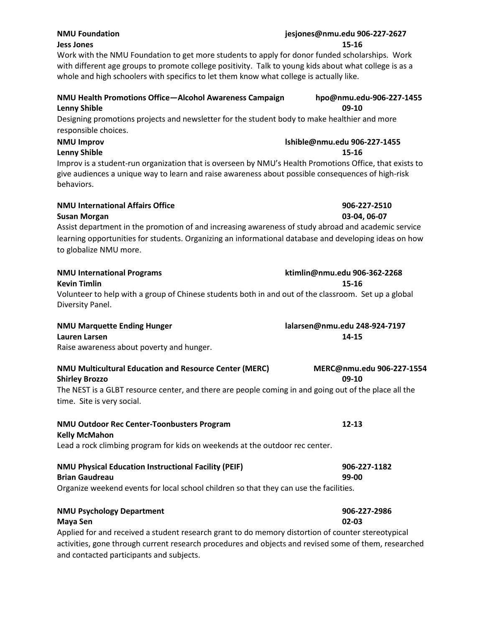### **NMU Foundation jesjones@nmu.edu 906-227-2627 Jess Jones 15-16**

Work with the NMU Foundation to get more students to apply for donor funded scholarships. Work with different age groups to promote college positivity. Talk to young kids about what college is as a whole and high schoolers with specifics to let them know what college is actually like.

## **NMU Health Promotions Office—Alcohol Awareness Campaign hpo@nmu.edu-906-227-1455 Lenny Shible 09-10**

Designing promotions projects and newsletter for the student body to make healthier and more responsible choices.

# **NMU Improv lshible@nmu.edu 906-227-1455**

**Lenny Shible 15-16**

Improv is a student-run organization that is overseen by NMU's Health Promotions Office, that exists to give audiences a unique way to learn and raise awareness about possible consequences of high-risk behaviors.

# **NMU International Affairs Office 906-227-2510**

**Susan Morgan 03-04, 06-07** 

Assist department in the promotion of and increasing awareness of study abroad and academic service learning opportunities for students. Organizing an informational database and developing ideas on how to globalize NMU more.

| <b>NMU International Programs</b>      | ktimlin@nmu.edu 906-362-2268                                                                         |
|----------------------------------------|------------------------------------------------------------------------------------------------------|
| <b>Kevin Timlin</b>                    | 15-16                                                                                                |
|                                        | Volunteer to help with a group of Chinese students both in and out of the classroom. Set up a global |
| Diversity Panel.                       |                                                                                                      |
| <b>AIR ALL R.A., ,  L., P., , , , </b> | $1 - 1 - 1 - 2 - 3 - 1$                                                                              |

### **NMU Marquette Ending Hunger lalarsen@nmu.edu 248-924-7197 Lauren Larsen 14-15**

Raise awareness about poverty and hunger.

| NMU Multicultural Education and Resource Center (MERC)                                                | MERC@nmu.edu 906-227-1554 |
|-------------------------------------------------------------------------------------------------------|---------------------------|
| <b>Shirley Brozzo</b>                                                                                 | $09-10$                   |
| The NEST is a GLBT resource center, and there are people coming in and going out of the place all the |                           |
| time. Site is very social.                                                                            |                           |
| <b>NMU Outdoor Rec Center-Toonbusters Program</b><br><b>Kelly McMahon</b>                             | $12 - 13$                 |
|                                                                                                       |                           |
| Lead a rock climbing program for kids on weekends at the outdoor rec center.                          |                           |
| <b>NMU Physical Education Instructional Facility (PEIF)</b>                                           | 906-227-1182              |
| <b>Brian Gaudreau</b>                                                                                 | 99-00                     |
| Organize weekend events for local school children so that they can use the facilities.                |                           |
| <b>NMU Psychology Department</b>                                                                      | 906-227-2986              |
| Maya Sen                                                                                              | $02 - 03$                 |

Applied for and received a student research grant to do memory distortion of counter stereotypical activities, gone through current research procedures and objects and revised some of them, researched and contacted participants and subjects.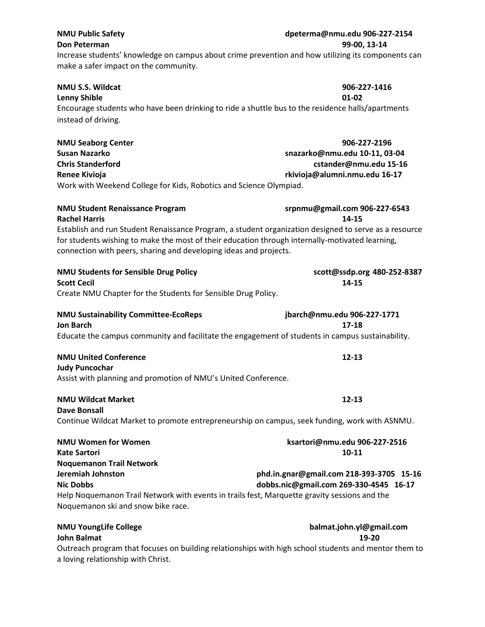### **NMU Public Safety dpeterma@nmu.edu 906-227-2154 Don Peterman 99-00, 13-14**

Increase students' knowledge on campus about crime prevention and how utilizing its components can make a safer impact on the community.

| NMU S.S. Wildcat                                                                                  | 906-227-1416 |
|---------------------------------------------------------------------------------------------------|--------------|
| Lenny Shible                                                                                      | 01-02        |
| Encourage students who have been drinking to ride a shuttle bus to the residence halls/apartments |              |
| instead of driving.                                                                               |              |
|                                                                                                   |              |

| <b>NMU Seaborg Center</b>                                          | 906-227-2196                  |  |
|--------------------------------------------------------------------|-------------------------------|--|
| Susan Nazarko                                                      | snazarko@nmu.edu 10-11, 03-04 |  |
| <b>Chris Standerford</b>                                           | cstander@nmu.edu 15-16        |  |
| Renee Kivioja                                                      | rkivioja@alumni.nmu.edu 16-17 |  |
| Work with Weekend College for Kids, Robotics and Science Olympiad. |                               |  |

**NMU Student Renaissance Program srpnmu@gmail.com 906-227-6543**

| <b>Rachel Harris</b>                                                                                  | 14-15 |
|-------------------------------------------------------------------------------------------------------|-------|
| Establish and run Student Renaissance Program, a student organization designed to serve as a resource |       |
| for students wishing to make the most of their education through internally-motivated learning,       |       |
| connection with peers, sharing and developing ideas and projects.                                     |       |

| <b>NMU Students for Sensible Drug Policy</b><br><b>Scott Cecil</b>                               | scott@ssdp.org 480-252-8387<br>14-15 |
|--------------------------------------------------------------------------------------------------|--------------------------------------|
| Create NMU Chapter for the Students for Sensible Drug Policy.                                    |                                      |
| <b>NMU Sustainability Committee-EcoReps</b>                                                      | jbarch@nmu.edu 906-227-1771          |
| <b>Jon Barch</b>                                                                                 | 17-18                                |
| Educate the campus community and facilitate the engagement of students in campus sustainability. |                                      |
| <b>NMU United Conference</b>                                                                     | $12 - 13$                            |

## **Judy Puncochar** Assist with planning and promotion of NMU's United Conference.

### **NMU Wildcat Market 12-13**

**Dave Bonsall** Continue Wildcat Market to promote entrepreneurship on campus, seek funding, work with ASNMU.

| <b>NMU Women for Women</b>                                                                   | ksartori@nmu.edu 906-227-2516            |
|----------------------------------------------------------------------------------------------|------------------------------------------|
| Kate Sartori                                                                                 | $10 - 11$                                |
| <b>Noquemanon Trail Network</b>                                                              |                                          |
| Jeremiah Johnston                                                                            | phd.in.gnar@gmail.com 218-393-3705 15-16 |
| <b>Nic Dobbs</b>                                                                             | dobbs.nic@gmail.com 269-330-4545 16-17   |
| Help Noquemanon Trail Network with events in trails fest, Marquette gravity sessions and the |                                          |
| Noquemanon ski and snow bike race.                                                           |                                          |

**NMU YoungLife College balmat.john.yl@gmail.com John Balmat 19-20**

Outreach program that focuses on building relationships with high school students and mentor them to a loving relationship with Christ.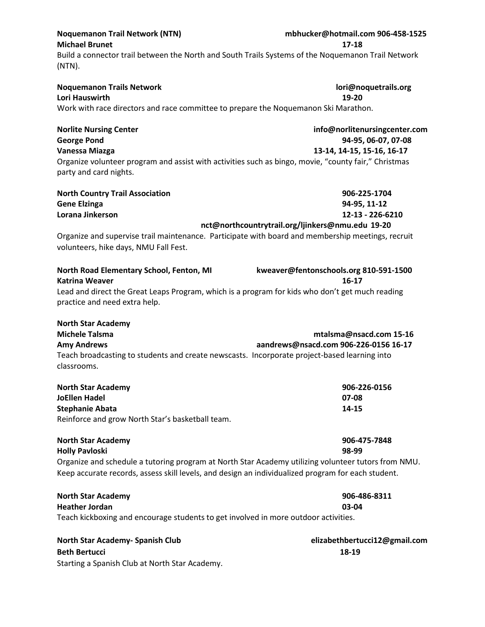| <b>Noquemanon Trail Network (NTN)</b><br><b>Michael Brunet</b>                                                                                                                                            | mbhucker@hotmail.com 906-458-1525<br>17-18           |
|-----------------------------------------------------------------------------------------------------------------------------------------------------------------------------------------------------------|------------------------------------------------------|
| Build a connector trail between the North and South Trails Systems of the Noquemanon Trail Network<br>$(NTN)$ .                                                                                           |                                                      |
| <b>Noquemanon Trails Network</b><br>Lori Hauswirth                                                                                                                                                        | lori@noquetrails.org<br>19-20                        |
| Work with race directors and race committee to prepare the Noquemanon Ski Marathon.                                                                                                                       |                                                      |
| <b>Norlite Nursing Center</b><br><b>George Pond</b>                                                                                                                                                       | info@norlitenursingcenter.com<br>94-95, 06-07, 07-08 |
| Vanessa Miazga                                                                                                                                                                                            | 13-14, 14-15, 15-16, 16-17                           |
| Organize volunteer program and assist with activities such as bingo, movie, "county fair," Christmas<br>party and card nights.                                                                            |                                                      |
| <b>North Country Trail Association</b>                                                                                                                                                                    | 906-225-1704                                         |
| <b>Gene Elzinga</b>                                                                                                                                                                                       | 94-95, 11-12                                         |
| Lorana Jinkerson                                                                                                                                                                                          | 12-13 - 226-6210                                     |
| Organize and supervise trail maintenance. Participate with board and membership meetings, recruit<br>volunteers, hike days, NMU Fall Fest.                                                                | nct@northcountrytrail.org/ljinkers@nmu.edu 19-20     |
| North Road Elementary School, Fenton, MI<br><b>Katrina Weaver</b>                                                                                                                                         | kweaver@fentonschools.org 810-591-1500<br>$16 - 17$  |
| Lead and direct the Great Leaps Program, which is a program for kids who don't get much reading<br>practice and need extra help.                                                                          |                                                      |
| <b>North Star Academy</b>                                                                                                                                                                                 |                                                      |
| <b>Michele Talsma</b>                                                                                                                                                                                     | mtalsma@nsacd.com 15-16                              |
| <b>Amy Andrews</b>                                                                                                                                                                                        | aandrews@nsacd.com 906-226-0156 16-17                |
| Teach broadcasting to students and create newscasts. Incorporate project-based learning into<br>classrooms.                                                                                               |                                                      |
| <b>North Star Academy</b>                                                                                                                                                                                 | 906-226-0156                                         |
| <b>JoEllen Hadel</b>                                                                                                                                                                                      | 07-08                                                |
| <b>Stephanie Abata</b>                                                                                                                                                                                    | 14-15                                                |
| Reinforce and grow North Star's basketball team.                                                                                                                                                          |                                                      |
| <b>North Star Academy</b>                                                                                                                                                                                 | 906-475-7848                                         |
| <b>Holly Pavloski</b>                                                                                                                                                                                     | 98-99                                                |
| Organize and schedule a tutoring program at North Star Academy utilizing volunteer tutors from NMU.<br>Keep accurate records, assess skill levels, and design an individualized program for each student. |                                                      |
| <b>North Star Academy</b>                                                                                                                                                                                 | 906-486-8311                                         |
| <b>Heather Jordan</b>                                                                                                                                                                                     | 03-04                                                |
| Teach kickboxing and encourage students to get involved in more outdoor activities.                                                                                                                       |                                                      |
| North Star Academy- Spanish Club                                                                                                                                                                          | elizabethbertucci12@gmail.com                        |
| <b>Beth Bertucci</b>                                                                                                                                                                                      | 18-19                                                |
| Starting a Spanish Club at North Star Academy.                                                                                                                                                            |                                                      |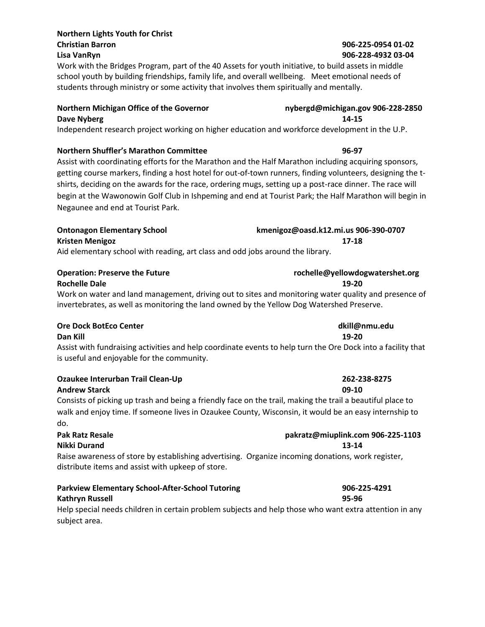## **Northern Lights Youth for Christ Christian Barron 906-225-0954 01-02**

Work with the Bridges Program, part of the 40 Assets for youth initiative, to build assets in middle school youth by building friendships, family life, and overall wellbeing. Meet emotional needs of students through ministry or some activity that involves them spiritually and mentally.

### **Northern Michigan Office of the Governor nybergd@michigan.gov 906-228-2850 Dave Nyberg 14-15**

Independent research project working on higher education and workforce development in the U.P.

### **Northern Shuffler's Marathon Committee 96-97**

Assist with coordinating efforts for the Marathon and the Half Marathon including acquiring sponsors, getting course markers, finding a host hotel for out-of-town runners, finding volunteers, designing the tshirts, deciding on the awards for the race, ordering mugs, setting up a post-race dinner. The race will begin at the Wawonowin Golf Club in Ishpeming and end at Tourist Park; the Half Marathon will begin in Negaunee and end at Tourist Park.

| <b>Ontonagon Elementary School</b>                                             | kmenigoz@oasd.k12.mi.us 906-390-0707 |
|--------------------------------------------------------------------------------|--------------------------------------|
| Kristen Menigoz                                                                | 17-18                                |
| Aid elementary school with reading, art class and odd jobs around the library. |                                      |

| <b>Operation: Preserve the Future</b> | rochelle@yellowdogwatershet.org                                                                     |
|---------------------------------------|-----------------------------------------------------------------------------------------------------|
| <b>Rochelle Dale</b>                  | 19-20                                                                                               |
|                                       | Work an water and land management driving out to sites and monitoring water quality and presence of |

Work on water and land management, driving out to sites and monitoring water quality and presence of invertebrates, as well as monitoring the land owned by the Yellow Dog Watershed Preserve.

### **Ore Dock BotEco Center dkill@nmu.edu**

**Dan Kill 19-20**

Assist with fundraising activities and help coordinate events to help turn the Ore Dock into a facility that is useful and enjoyable for the community.

| Ozaukee Interurban Trail Clean-Up | 262-238-8275 |
|-----------------------------------|--------------|
| <b>Andrew Starck</b>              | 09-10        |

Consists of picking up trash and being a friendly face on the trail, making the trail a beautiful place to walk and enjoy time. If someone lives in Ozaukee County, Wisconsin, it would be an easy internship to do.

### **Pak Ratz Resale pakratz@miuplink.com 906-225-1103 Nikki Durand 13-14** Raise awareness of store by establishing advertising. Organize incoming donations, work register, distribute items and assist with upkeep of store.

| <b>Parkview Elementary School-After-School Tutoring</b>                                                | 906-225-4291 |
|--------------------------------------------------------------------------------------------------------|--------------|
| Kathryn Russell                                                                                        | 95-96        |
| Help special needs children in certain problem subjects and help those who want extra attention in any |              |

subject area.

# **Lisa VanRyn 906-228-4932 03-04**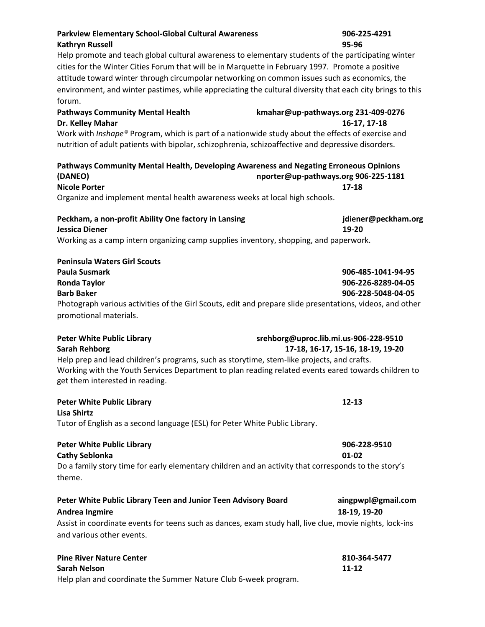| <b>Kathryn Russell</b>                                                                                                                 | 95-96                                 |
|----------------------------------------------------------------------------------------------------------------------------------------|---------------------------------------|
| Help promote and teach global cultural awareness to elementary students of the participating winter                                    |                                       |
| cities for the Winter Cities Forum that will be in Marquette in February 1997. Promote a positive                                      |                                       |
| attitude toward winter through circumpolar networking on common issues such as economics, the                                          |                                       |
| environment, and winter pastimes, while appreciating the cultural diversity that each city brings to this                              |                                       |
| forum.                                                                                                                                 |                                       |
| <b>Pathways Community Mental Health</b>                                                                                                | kmahar@up-pathways.org 231-409-0276   |
| Dr. Kelley Mahar                                                                                                                       | 16-17, 17-18                          |
| Work with <i>Inshape®</i> Program, which is part of a nationwide study about the effects of exercise and                               |                                       |
| nutrition of adult patients with bipolar, schizophrenia, schizoaffective and depressive disorders.                                     |                                       |
| Pathways Community Mental Health, Developing Awareness and Negating Erroneous Opinions                                                 |                                       |
| (DANEO)                                                                                                                                | nporter@up-pathways.org 906-225-1181  |
| <b>Nicole Porter</b>                                                                                                                   | 17-18                                 |
| Organize and implement mental health awareness weeks at local high schools.                                                            |                                       |
| Peckham, a non-profit Ability One factory in Lansing                                                                                   | jdiener@peckham.org                   |
| <b>Jessica Diener</b>                                                                                                                  | 19-20                                 |
| Working as a camp intern organizing camp supplies inventory, shopping, and paperwork.                                                  |                                       |
| <b>Peninsula Waters Girl Scouts</b>                                                                                                    |                                       |
| <b>Paula Susmark</b>                                                                                                                   | 906-485-1041-94-95                    |
| <b>Ronda Taylor</b>                                                                                                                    | 906-226-8289-04-05                    |
| <b>Barb Baker</b>                                                                                                                      | 906-228-5048-04-05                    |
| Photograph various activities of the Girl Scouts, edit and prepare slide presentations, videos, and other                              |                                       |
| promotional materials.                                                                                                                 |                                       |
| <b>Peter White Public Library</b>                                                                                                      | srehborg@uproc.lib.mi.us-906-228-9510 |
| <b>Sarah Rehborg</b>                                                                                                                   | 17-18, 16-17, 15-16, 18-19, 19-20     |
| Help prep and lead children's programs, such as storytime, stem-like projects, and crafts.                                             |                                       |
| Working with the Youth Services Department to plan reading related events eared towards children to<br>get them interested in reading. |                                       |
|                                                                                                                                        | $12 - 13$                             |
| <b>Peter White Public Library</b><br><b>Lisa Shirtz</b>                                                                                |                                       |
| Tutor of English as a second language (ESL) for Peter White Public Library.                                                            |                                       |
| <b>Peter White Public Library</b>                                                                                                      | 906-228-9510                          |
| <b>Cathy Seblonka</b>                                                                                                                  | 01-02                                 |
| Do a family story time for early elementary children and an activity that corresponds to the story's                                   |                                       |
| theme.                                                                                                                                 |                                       |
| Peter White Public Library Teen and Junior Teen Advisory Board                                                                         | aingpwpl@gmail.com                    |
| <b>Andrea Ingmire</b>                                                                                                                  | 18-19, 19-20                          |
| Assist in coordinate events for teens such as dances, exam study hall, live clue, movie nights, lock-ins                               |                                       |
| and various other events.                                                                                                              |                                       |
| <b>Pine River Nature Center</b>                                                                                                        | 810-364-5477                          |
| <b>Sarah Nelson</b>                                                                                                                    | 11-12                                 |
| Help plan and coordinate the Summer Nature Club 6-week program.                                                                        |                                       |

**Parkview Elementary School-Global Cultural Awareness 906-225-4291**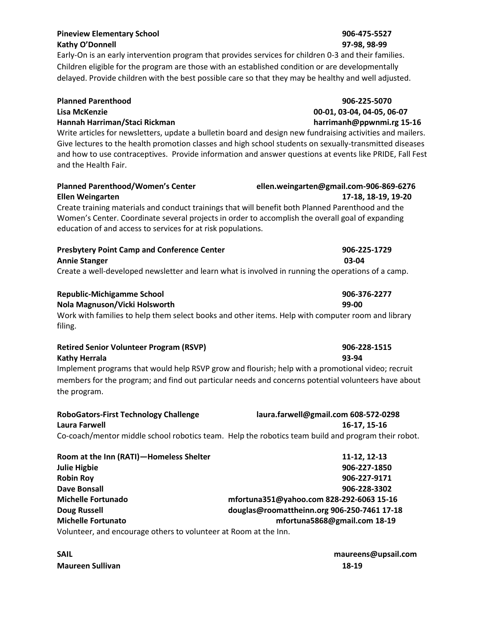### **Pineview Elementary School 906-475-5527 Kathy O'Donnell 97-98, 98-99**

### Early-On is an early intervention program that provides services for children 0-3 and their families. Children eligible for the program are those with an established condition or are developmentally delayed. Provide children with the best possible care so that they may be healthy and well adjusted.

### **Planned Parenthood 906-225-5070**

### **Lisa McKenzie 00-01, 03-04, 04-05, 06-07**

### **Hannah Harriman/Staci Rickman harrimanh@ppwnmi.rg 15-16**

Write articles for newsletters, update a bulletin board and design new fundraising activities and mailers. Give lectures to the health promotion classes and high school students on sexually-transmitted diseases and how to use contraceptives. Provide information and answer questions at events like PRIDE, Fall Fest and the Health Fair.

## **Planned Parenthood/Women's Center ellen.weingarten@gmail.com-906-869-6276 Ellen Weingarten 17-18, 18-19, 19-20**

Create training materials and conduct trainings that will benefit both Planned Parenthood and the Women's Center. Coordinate several projects in order to accomplish the overall goal of expanding education of and access to services for at risk populations.

| <b>Presbytery Point Camp and Conference Center</b>                                                 | 906-225-1729 |
|----------------------------------------------------------------------------------------------------|--------------|
| <b>Annie Stanger</b>                                                                               | 03-04        |
| Create a well-developed newsletter and learn what is involved in running the operations of a camp. |              |

| <b>Republic-Michigamme School</b>                                                                 | 906-376-2277 |
|---------------------------------------------------------------------------------------------------|--------------|
| Nola Magnuson/Vicki Holsworth                                                                     | 99-00        |
| Work with families to help them select books and other items. Help with computer room and library |              |
| filing.                                                                                           |              |

| <b>Retired Senior Volunteer Program (RSVP)</b>                                                                                                                                                                           | 906-228-1515 |
|--------------------------------------------------------------------------------------------------------------------------------------------------------------------------------------------------------------------------|--------------|
| Kathy Herrala                                                                                                                                                                                                            | 93-94        |
| Implement programs that would help RSVP grow and flourish; help with a promotional video; recruit<br>members for the program; and find out particular needs and concerns potential volunteers have about<br>the program. |              |

| <b>RoboGators-First Technology Challenge</b> | laura.farwell@gmail.com 608-572-0298                                                               |
|----------------------------------------------|----------------------------------------------------------------------------------------------------|
| Laura Farwell                                | 16-17, 15-16                                                                                       |
|                                              | Co-coach/mentor middle school robotics team. Help the robotics team build and program their robot. |

| Room at the Inn (RATI)-Homeless Shelter                          | 11-12, 12-13                                |
|------------------------------------------------------------------|---------------------------------------------|
| <b>Julie Higbie</b>                                              | 906-227-1850                                |
| <b>Robin Roy</b>                                                 | 906-227-9171                                |
| <b>Dave Bonsall</b>                                              | 906-228-3302                                |
| <b>Michelle Fortunado</b>                                        | mfortuna351@yahoo.com 828-292-6063 15-16    |
| <b>Doug Russell</b>                                              | douglas@roomattheinn.org 906-250-7461 17-18 |
| <b>Michelle Fortunato</b>                                        | mfortuna5868@gmail.com 18-19                |
| Volunteer, and encourage others to volunteer at Room at the Inn. |                                             |

**Maureen Sullivan 18-19**

# **SAIL maureens@upsail.com**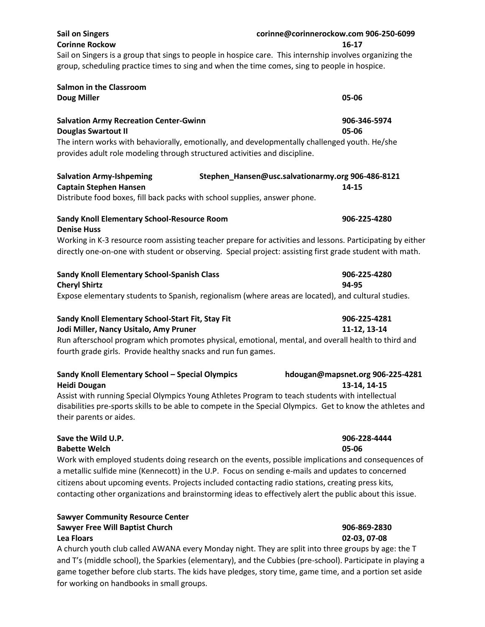| <b>Sail on Singers</b><br><b>Corinne Rockow</b>                                                                                                                                                                                          | corinne@corinnerockow.com 906-250-6099<br>16-17            |
|------------------------------------------------------------------------------------------------------------------------------------------------------------------------------------------------------------------------------------------|------------------------------------------------------------|
| Sail on Singers is a group that sings to people in hospice care. This internship involves organizing the<br>group, scheduling practice times to sing and when the time comes, sing to people in hospice.                                 |                                                            |
| <b>Salmon in the Classroom</b>                                                                                                                                                                                                           |                                                            |
| <b>Doug Miller</b>                                                                                                                                                                                                                       | 05-06                                                      |
| <b>Salvation Army Recreation Center-Gwinn</b><br><b>Douglas Swartout II</b>                                                                                                                                                              | 906-346-5974<br>05-06                                      |
| The intern works with behaviorally, emotionally, and developmentally challenged youth. He/she<br>provides adult role modeling through structured activities and discipline.                                                              |                                                            |
| <b>Salvation Army-Ishpeming</b><br><b>Captain Stephen Hansen</b><br>Distribute food boxes, fill back packs with school supplies, answer phone.                                                                                           | Stephen_Hansen@usc.salvationarmy.org 906-486-8121<br>14-15 |
| Sandy Knoll Elementary School-Resource Room<br><b>Denise Huss</b>                                                                                                                                                                        | 906-225-4280                                               |
| Working in K-3 resource room assisting teacher prepare for activities and lessons. Participating by either                                                                                                                               |                                                            |
| directly one-on-one with student or observing. Special project: assisting first grade student with math.                                                                                                                                 |                                                            |
| Sandy Knoll Elementary School-Spanish Class<br><b>Cheryl Shirtz</b>                                                                                                                                                                      | 906-225-4280<br>94-95                                      |
| Expose elementary students to Spanish, regionalism (where areas are located), and cultural studies.                                                                                                                                      |                                                            |
| Sandy Knoll Elementary School-Start Fit, Stay Fit<br>Jodi Miller, Nancy Usitalo, Amy Pruner                                                                                                                                              | 906-225-4281<br>11-12, 13-14                               |
| Run afterschool program which promotes physical, emotional, mental, and overall health to third and<br>fourth grade girls. Provide healthy snacks and run fun games.                                                                     |                                                            |
| Sandy Knoll Elementary School - Special Olympics<br><b>Heidi Dougan</b>                                                                                                                                                                  | hdougan@mapsnet.org 906-225-4281<br>13-14, 14-15           |
| Assist with running Special Olympics Young Athletes Program to teach students with intellectual<br>disabilities pre-sports skills to be able to compete in the Special Olympics. Get to know the athletes and<br>their parents or aides. |                                                            |
| Save the Wild U.P.<br><b>Babette Welch</b>                                                                                                                                                                                               | 906-228-4444<br>05-06                                      |

Work with employed students doing research on the events, possible implications and consequences of a metallic sulfide mine (Kennecott) in the U.P. Focus on sending e-mails and updates to concerned citizens about upcoming events. Projects included contacting radio stations, creating press kits, contacting other organizations and brainstorming ideas to effectively alert the public about this issue.

### **Sawyer Community Resource Center Sawyer Free Will Baptist Church 906-869-2830 Lea Floars 02-03, 07-08**

A church youth club called AWANA every Monday night. They are split into three groups by age: the T and T's (middle school), the Sparkies (elementary), and the Cubbies (pre-school). Participate in playing a game together before club starts. The kids have pledges, story time, game time, and a portion set aside for working on handbooks in small groups.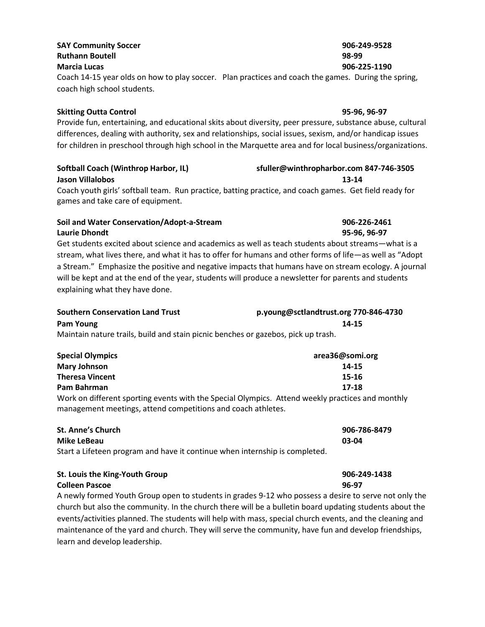### **SAY Community Soccer 906-249-9528 Ruthann Boutell 98-99**

### **Marcia Lucas 906-225-1190**

Coach 14-15 year olds on how to play soccer. Plan practices and coach the games. During the spring, coach high school students.

### **Skitting Outta Control 95-96, 96-97**

Provide fun, entertaining, and educational skits about diversity, peer pressure, substance abuse, cultural differences, dealing with authority, sex and relationships, social issues, sexism, and/or handicap issues for children in preschool through high school in the Marquette area and for local business/organizations.

### **Softball Coach (Winthrop Harbor, IL) sfuller@winthropharbor.com 847-746-3505 Jason Villalobos 13-14**

Coach youth girls' softball team. Run practice, batting practice, and coach games. Get field ready for games and take care of equipment.

### **Soil and Water Conservation/Adopt-a-Stream 906-226-2461 Laurie Dhondt 95-96, 96-97**

Get students excited about science and academics as well as teach students about streams—what is a stream, what lives there, and what it has to offer for humans and other forms of life—as well as "Adopt a Stream." Emphasize the positive and negative impacts that humans have on stream ecology. A journal will be kept and at the end of the year, students will produce a newsletter for parents and students explaining what they have done.

| <b>Southern Conservation Land Trust</b>                                           | p.young@sctlandtrust.org 770-846-4730 |
|-----------------------------------------------------------------------------------|---------------------------------------|
| Pam Young                                                                         | 14-15                                 |
| Maintain noture traile, build and stain pienis henches ar gazehes, piel: un trach |                                       |

Maintain nature trails, build and stain picnic benches or gazebos, pick up trash.

| <b>Special Olympics</b>                                                                          | area36@somi.org |
|--------------------------------------------------------------------------------------------------|-----------------|
| <b>Mary Johnson</b>                                                                              | 14-15           |
| <b>Theresa Vincent</b>                                                                           | 15-16           |
| Pam Bahrman                                                                                      | 17-18           |
| Work on different sporting events with the Special Olympics. Attend weekly practices and monthly |                 |
| management meetings, attend competitions and coach athletes.                                     |                 |

| <b>St. Anne's Church</b>                                                    | 906-786-8479 |
|-----------------------------------------------------------------------------|--------------|
| Mike LeBeau                                                                 | 03-04        |
| Start a Lifeteen program and have it continue when internship is completed. |              |

| St. Louis the King-Youth Group                                                                  | 906-249-1438 |
|-------------------------------------------------------------------------------------------------|--------------|
| <b>Colleen Pascoe</b>                                                                           | 96-97        |
| A newly formed Youth Group open to students in grades 9-12 who possess a desire to serve not on |              |

ewly formed Youth Group open to students in grades 9-12 who possess a desire to serve not only the church but also the community. In the church there will be a bulletin board updating students about the events/activities planned. The students will help with mass, special church events, and the cleaning and maintenance of the yard and church. They will serve the community, have fun and develop friendships, learn and develop leadership.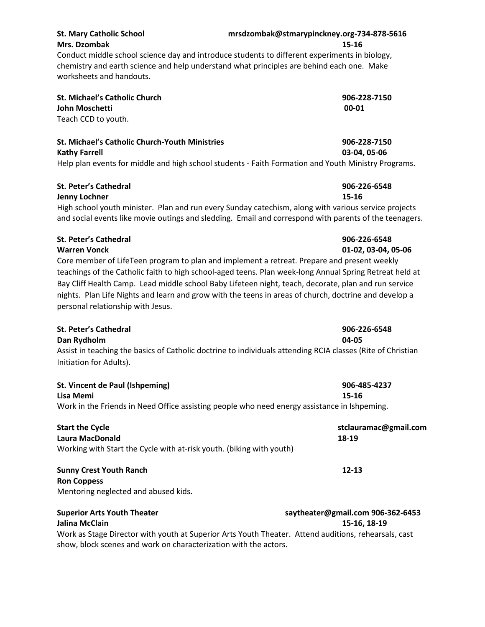| <b>St. Mary Catholic School</b>                       | mrsdzombak@stmarypinckney.org-734-878-5616                                                                                                                                                          |  |
|-------------------------------------------------------|-----------------------------------------------------------------------------------------------------------------------------------------------------------------------------------------------------|--|
| <b>Mrs. Dzombak</b>                                   | 15-16<br>Conduct middle school science day and introduce students to different experiments in biology,<br>chemistry and earth science and help understand what principles are behind each one. Make |  |
| worksheets and handouts.                              |                                                                                                                                                                                                     |  |
| <b>St. Michael's Catholic Church</b>                  | 906-228-7150                                                                                                                                                                                        |  |
| John Moschetti                                        | 00-01                                                                                                                                                                                               |  |
| Teach CCD to youth.                                   |                                                                                                                                                                                                     |  |
| <b>St. Michael's Catholic Church-Youth Ministries</b> | 906-228-7150                                                                                                                                                                                        |  |
| <b>Kathy Farrell</b>                                  | 03-04, 05-06                                                                                                                                                                                        |  |
|                                                       | Help plan events for middle and high school students - Faith Formation and Youth Ministry Programs.                                                                                                 |  |

### **St. Peter's Cathedral 906-226-6548**

### **Jenny Lochner 15-16**

High school youth minister. Plan and run every Sunday catechism, along with various service projects and social events like movie outings and sledding. Email and correspond with parents of the teenagers.

### **St. Peter's Cathedral 906-226-6548 Warren Vonck 01-02, 03-04, 05-06**

Core member of LifeTeen program to plan and implement a retreat. Prepare and present weekly teachings of the Catholic faith to high school-aged teens. Plan week-long Annual Spring Retreat held at Bay Cliff Health Camp. Lead middle school Baby Lifeteen night, teach, decorate, plan and run service nights. Plan Life Nights and learn and grow with the teens in areas of church, doctrine and develop a personal relationship with Jesus.

| St. Peter's Cathedral                                                                                                                  | 906-226-6548 |
|----------------------------------------------------------------------------------------------------------------------------------------|--------------|
| Dan Rydholm                                                                                                                            | 04-05        |
| Assist in teaching the basics of Catholic doctrine to individuals attending RCIA classes (Rite of Christian<br>Initiation for Adults). |              |
| St. Vincent de Paul (Ishpeming)                                                                                                        | 906-485-4237 |

| Lisa Memi                                                                                    | $15 - 16$             |  |
|----------------------------------------------------------------------------------------------|-----------------------|--|
| Work in the Friends in Need Office assisting people who need energy assistance in Ishpeming. |                       |  |
| <b>Start the Cycle</b>                                                                       | stclauramac@gmail.com |  |
| Laura MacDonald                                                                              | 18-19                 |  |
| Working with Start the Cycle with at-risk youth. (biking with youth)                         |                       |  |
| <b>Sunny Crest Youth Ranch</b>                                                               | $12 - 13$             |  |
| <b>Ron Coppess</b>                                                                           |                       |  |
| Mentoring neglected and abused kids.                                                         |                       |  |
|                                                                                              |                       |  |

### **Jalina McClain 15-16, 18-19** Work as Stage Director with youth at Superior Arts Youth Theater. Attend auditions, rehearsals, cast show, block scenes and work on characterization with the actors.

**Superior Arts Youth Theater saytheater@gmail.com 906-362-6453**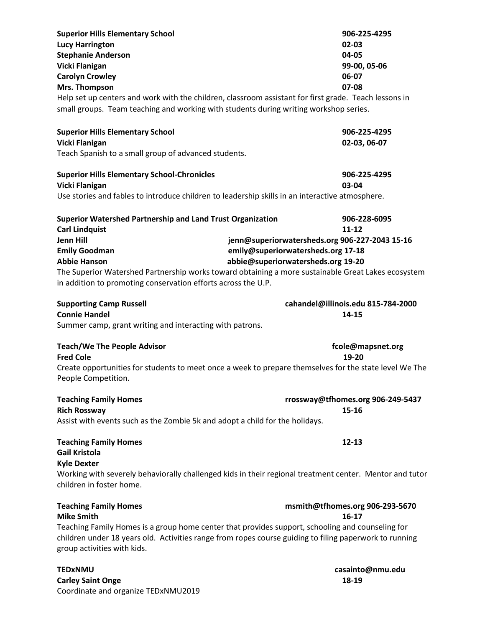| <b>Superior Hills Elementary School</b><br><b>Lucy Harrington</b><br><b>Stephanie Anderson</b><br>Vicki Flanigan<br><b>Carolyn Crowley</b><br>Mrs. Thompson<br>small groups. Team teaching and working with students during writing workshop series. | 906-225-4295<br>02-03<br>04-05<br>99-00, 05-06<br>06-07<br>07-08<br>Help set up centers and work with the children, classroom assistant for first grade. Teach lessons in                                  |
|------------------------------------------------------------------------------------------------------------------------------------------------------------------------------------------------------------------------------------------------------|------------------------------------------------------------------------------------------------------------------------------------------------------------------------------------------------------------|
| <b>Superior Hills Elementary School</b>                                                                                                                                                                                                              | 906-225-4295                                                                                                                                                                                               |
| <b>Vicki Flanigan</b>                                                                                                                                                                                                                                | 02-03, 06-07                                                                                                                                                                                               |
| Teach Spanish to a small group of advanced students.                                                                                                                                                                                                 |                                                                                                                                                                                                            |
| <b>Superior Hills Elementary School-Chronicles</b>                                                                                                                                                                                                   | 906-225-4295                                                                                                                                                                                               |
| Vicki Flanigan                                                                                                                                                                                                                                       | 03-04                                                                                                                                                                                                      |
| Use stories and fables to introduce children to leadership skills in an interactive atmosphere.                                                                                                                                                      |                                                                                                                                                                                                            |
| Superior Watershed Partnership and Land Trust Organization<br><b>Carl Lindquist</b>                                                                                                                                                                  | 906-228-6095<br>$11 - 12$                                                                                                                                                                                  |
| <b>Jenn Hill</b>                                                                                                                                                                                                                                     | jenn@superiorwatersheds.org 906-227-2043 15-16                                                                                                                                                             |
| <b>Emily Goodman</b>                                                                                                                                                                                                                                 | emily@superiorwatersheds.org 17-18                                                                                                                                                                         |
| <b>Abbie Hanson</b>                                                                                                                                                                                                                                  | abbie@superiorwatersheds.org 19-20                                                                                                                                                                         |
| in addition to promoting conservation efforts across the U.P.                                                                                                                                                                                        | The Superior Watershed Partnership works toward obtaining a more sustainable Great Lakes ecosystem                                                                                                         |
| <b>Supporting Camp Russell</b>                                                                                                                                                                                                                       | cahandel@illinois.edu 815-784-2000                                                                                                                                                                         |
| <b>Connie Handel</b>                                                                                                                                                                                                                                 | 14-15                                                                                                                                                                                                      |
| Summer camp, grant writing and interacting with patrons.                                                                                                                                                                                             |                                                                                                                                                                                                            |
| <b>Teach/We The People Advisor</b><br><b>Fred Cole</b>                                                                                                                                                                                               | fcole@mapsnet.org<br>19-20                                                                                                                                                                                 |
| People Competition.                                                                                                                                                                                                                                  | Create opportunities for students to meet once a week to prepare themselves for the state level We The                                                                                                     |
| <b>Teaching Family Homes</b><br><b>Rich Rossway</b>                                                                                                                                                                                                  | rrossway@tfhomes.org 906-249-5437<br>$15 - 16$                                                                                                                                                             |
| Assist with events such as the Zombie 5k and adopt a child for the holidays.                                                                                                                                                                         |                                                                                                                                                                                                            |
| <b>Teaching Family Homes</b><br><b>Gail Kristola</b><br><b>Kyle Dexter</b>                                                                                                                                                                           | $12 - 13$                                                                                                                                                                                                  |
| children in foster home.                                                                                                                                                                                                                             | Working with severely behaviorally challenged kids in their regional treatment center. Mentor and tutor                                                                                                    |
| <b>Teaching Family Homes</b><br><b>Mike Smith</b>                                                                                                                                                                                                    | msmith@tfhomes.org 906-293-5670<br>$16-17$                                                                                                                                                                 |
|                                                                                                                                                                                                                                                      |                                                                                                                                                                                                            |
| group activities with kids.                                                                                                                                                                                                                          | Teaching Family Homes is a group home center that provides support, schooling and counseling for<br>children under 18 years old. Activities range from ropes course guiding to filing paperwork to running |

**Carley Saint Onge 18-19** Coordinate and organize TEDxNMU2019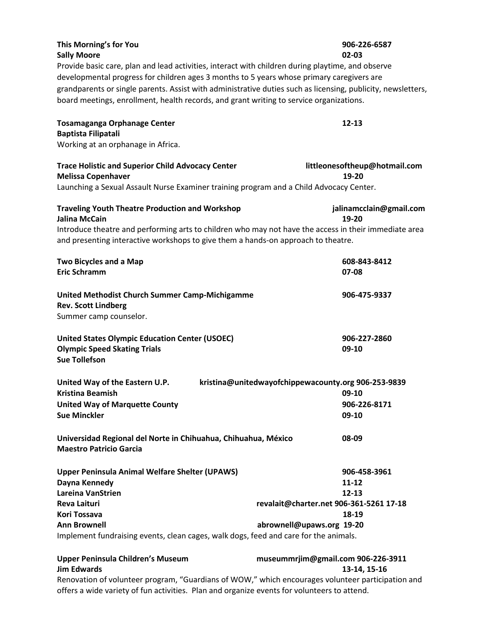| This Morning's for You                                                                            | 906-226-6587 |
|---------------------------------------------------------------------------------------------------|--------------|
| <b>Sally Moore</b>                                                                                | $02 - 03$    |
| Provide basic care, plan and lead activities, interact with children during playtime, and observe |              |

developmental progress for children ages 3 months to 5 years whose primary caregivers are grandparents or single parents. Assist with administrative duties such as licensing, publicity, newsletters, board meetings, enrollment, health records, and grant writing to service organizations.

| <b>Tosamaganga Orphanage Center</b> | $12 - 13$ |
|-------------------------------------|-----------|
| Baptista Filipatali                 |           |
| Working at an orphanage in Africa.  |           |

**Trace Holistic and Superior Child Advocacy Center littleonesoftheup@hotmail.com Melissa Copenhaver 19-20** Launching a Sexual Assault Nurse Examiner training program and a Child Advocacy Center. **Traveling Youth Theatre Production and Workshop jalinamcclain@gmail.com Jalina McCain 19-20** Introduce theatre and performing arts to children who may not have the access in their immediate area and presenting interactive workshops to give them a hands-on approach to theatre. **Two Bicycles and a Map 608-843-8412 608-843-8412 Eric Schramm 07-08 United Methodist Church Summer Camp-Michigamme 906-475-9337 Rev. Scott Lindberg**  Summer camp counselor. **United States Olympic Education Center (USOEC) 906-227-2860 Olympic Speed Skating Trials 09-10 Sue Tollefson United Way of the Eastern U.P. kristina@unitedwayofchippewacounty.org 906-253-9839 Kristina Beamish 09-10 United Way of Marquette County 906-226-8171 Sue Minckler 09-10 Universidad Regional del Norte in Chihuahua, Chihuahua, México 08-09 Maestro Patricio Garcia Upper Peninsula Animal Welfare Shelter (UPAWS) 906-458-3961 Dayna Kennedy 11-12 Lareina VanStrien 12-13 Reva Laituri revalait@charter.net 906-361-5261 17-18 Kori Tossava 18-19 Ann Brownell abrownell@upaws.org 19-20** Implement fundraising events, clean cages, walk dogs, feed and care for the animals.

**Upper Peninsula Children's Museum museummrjim@gmail.com 906-226-3911 Jim Edwards 13-14, 15-16** Renovation of volunteer program, "Guardians of WOW," which encourages volunteer participation and offers a wide variety of fun activities. Plan and organize events for volunteers to attend.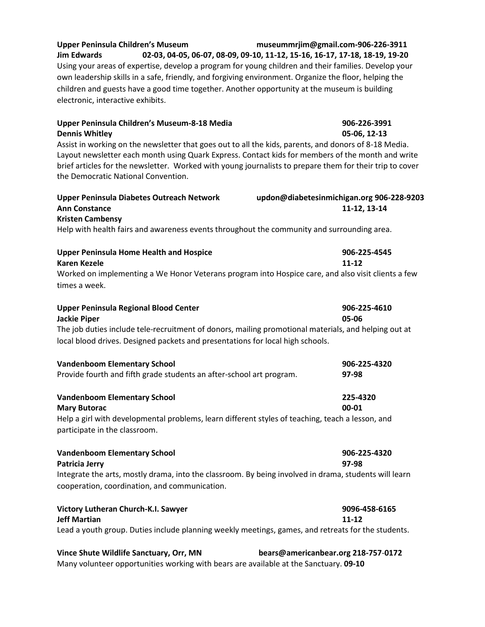| <b>Upper Peninsula Children's Museum</b>                                                     |  | museummrjim@gmail.com-906-226-3911                                                                    |
|----------------------------------------------------------------------------------------------|--|-------------------------------------------------------------------------------------------------------|
| <b>Jim Edwards</b>                                                                           |  | 02-03, 04-05, 06-07, 08-09, 09-10, 11-12, 15-16, 16-17, 17-18, 18-19, 19-20                           |
|                                                                                              |  | Using your areas of expertise, develop a program for young children and their families. Develop your  |
|                                                                                              |  | own leadership skills in a safe, friendly, and forgiving environment. Organize the floor, helping the |
| children and guests have a good time together. Another opportunity at the museum is building |  |                                                                                                       |
| electronic, interactive exhibits.                                                            |  |                                                                                                       |

| Upper Peninsula Children's Museum-8-18 Media<br><b>Dennis Whitley</b>                                                                                                                                      | 906-226-3991<br>05-06, 12-13                              |  |  |  |
|------------------------------------------------------------------------------------------------------------------------------------------------------------------------------------------------------------|-----------------------------------------------------------|--|--|--|
| Assist in working on the newsletter that goes out to all the kids, parents, and donors of 8-18 Media.<br>Layout newsletter each month using Quark Express. Contact kids for members of the month and write |                                                           |  |  |  |
| brief articles for the newsletter. Worked with young journalists to prepare them for their trip to cover<br>the Democratic National Convention.                                                            |                                                           |  |  |  |
| <b>Upper Peninsula Diabetes Outreach Network</b><br><b>Ann Constance</b>                                                                                                                                   | updon@diabetesinmichigan.org 906-228-9203<br>11-12, 13-14 |  |  |  |
| <b>Kristen Cambensy</b>                                                                                                                                                                                    |                                                           |  |  |  |
| Help with health fairs and awareness events throughout the community and surrounding area.                                                                                                                 |                                                           |  |  |  |
| <b>Upper Peninsula Home Health and Hospice</b>                                                                                                                                                             | 906-225-4545                                              |  |  |  |
| <b>Karen Kezele</b>                                                                                                                                                                                        | 11-12                                                     |  |  |  |
| Worked on implementing a We Honor Veterans program into Hospice care, and also visit clients a few<br>times a week.                                                                                        |                                                           |  |  |  |
| <b>Upper Peninsula Regional Blood Center</b><br><b>Jackie Piper</b>                                                                                                                                        | 906-225-4610<br>05-06                                     |  |  |  |
| The job duties include tele-recruitment of donors, mailing promotional materials, and helping out at<br>local blood drives. Designed packets and presentations for local high schools.                     |                                                           |  |  |  |
| <b>Vandenboom Elementary School</b>                                                                                                                                                                        | 906-225-4320                                              |  |  |  |
| Provide fourth and fifth grade students an after-school art program.                                                                                                                                       | 97-98                                                     |  |  |  |
| <b>Vandenboom Elementary School</b>                                                                                                                                                                        | 225-4320                                                  |  |  |  |
| <b>Mary Butorac</b>                                                                                                                                                                                        | 00-01                                                     |  |  |  |
| Help a girl with developmental problems, learn different styles of teaching, teach a lesson, and<br>participate in the classroom.                                                                          |                                                           |  |  |  |
| <b>Vandenboom Elementary School</b><br><b>Patricia Jerry</b>                                                                                                                                               | 906-225-4320<br>97-98                                     |  |  |  |
| Integrate the arts, mostly drama, into the classroom. By being involved in drama, students will learn<br>cooperation, coordination, and communication.                                                     |                                                           |  |  |  |
| Victory Lutheran Church-K.I. Sawyer<br><b>Jeff Martian</b>                                                                                                                                                 | 9096-458-6165<br>11-12                                    |  |  |  |

Lead a youth group. Duties include planning weekly meetings, games, and retreats for the students.

## **Vince Shute Wildlife Sanctuary, Orr, MN bears@americanbear.org 218-757**-**0172**

Many volunteer opportunities working with bears are available at the Sanctuary. **09-10**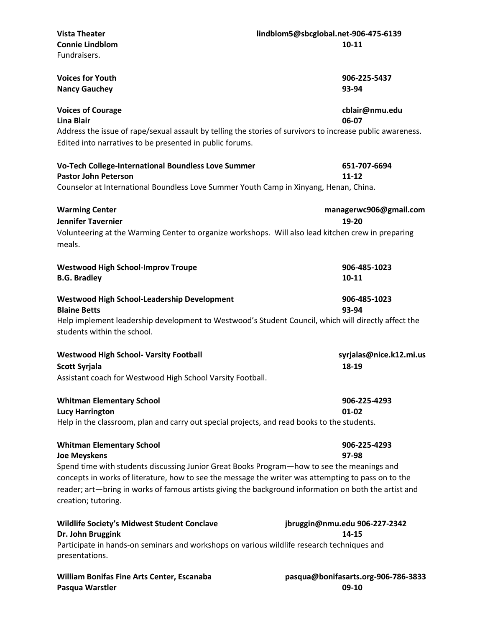| <b>Vista Theater</b>                                                                                       | lindblom5@sbcglobal.net-906-475-6139 |  |
|------------------------------------------------------------------------------------------------------------|--------------------------------------|--|
| <b>Connie Lindblom</b>                                                                                     | $10 - 11$                            |  |
| Fundraisers.                                                                                               |                                      |  |
|                                                                                                            |                                      |  |
| <b>Voices for Youth</b>                                                                                    | 906-225-5437                         |  |
| <b>Nancy Gauchey</b>                                                                                       | 93-94                                |  |
|                                                                                                            |                                      |  |
| <b>Voices of Courage</b>                                                                                   | cblair@nmu.edu                       |  |
| <b>Lina Blair</b>                                                                                          | 06-07                                |  |
| Address the issue of rape/sexual assault by telling the stories of survivors to increase public awareness. |                                      |  |
| Edited into narratives to be presented in public forums.                                                   |                                      |  |
|                                                                                                            |                                      |  |
|                                                                                                            |                                      |  |
| Vo-Tech College-International Boundless Love Summer                                                        | 651-707-6694                         |  |
| <b>Pastor John Peterson</b>                                                                                | $11 - 12$                            |  |
| Counselor at International Boundless Love Summer Youth Camp in Xinyang, Henan, China.                      |                                      |  |
|                                                                                                            |                                      |  |
| <b>Warming Center</b>                                                                                      | managerwc906@gmail.com               |  |
| <b>Jennifer Tavernier</b>                                                                                  | 19-20                                |  |
| Volunteering at the Warming Center to organize workshops. Will also lead kitchen crew in preparing         |                                      |  |
| meals.                                                                                                     |                                      |  |
|                                                                                                            |                                      |  |
| <b>Westwood High School-Improv Troupe</b>                                                                  | 906-485-1023                         |  |
| <b>B.G. Bradley</b>                                                                                        | $10 - 11$                            |  |
|                                                                                                            |                                      |  |
| Westwood High School-Leadership Development                                                                | 906-485-1023                         |  |
| <b>Blaine Betts</b>                                                                                        | 93-94                                |  |
| Help implement leadership development to Westwood's Student Council, which will directly affect the        |                                      |  |
| students within the school.                                                                                |                                      |  |
|                                                                                                            |                                      |  |
| <b>Westwood High School- Varsity Football</b>                                                              | syrjalas@nice.k12.mi.us              |  |
|                                                                                                            |                                      |  |
| <b>Scott Syrjala</b>                                                                                       | 18-19                                |  |
| Assistant coach for Westwood High School Varsity Football.                                                 |                                      |  |
|                                                                                                            |                                      |  |
| <b>Whitman Elementary School</b>                                                                           | 906-225-4293                         |  |
| <b>Lucy Harrington</b>                                                                                     | 01-02                                |  |
| Help in the classroom, plan and carry out special projects, and read books to the students.                |                                      |  |
|                                                                                                            |                                      |  |
| <b>Whitman Elementary School</b>                                                                           | 906-225-4293                         |  |
| <b>Joe Meyskens</b>                                                                                        | 97-98                                |  |
| Spend time with students discussing Junior Great Books Program-how to see the meanings and                 |                                      |  |
| concepts in works of literature, how to see the message the writer was attempting to pass on to the        |                                      |  |
| reader; art—bring in works of famous artists giving the background information on both the artist and      |                                      |  |
| creation; tutoring.                                                                                        |                                      |  |
|                                                                                                            |                                      |  |
| <b>Wildlife Society's Midwest Student Conclave</b>                                                         | jbruggin@nmu.edu 906-227-2342        |  |
| Dr. John Bruggink                                                                                          | 14-15                                |  |
| Participate in hands-on seminars and workshops on various wildlife research techniques and                 |                                      |  |
| presentations.                                                                                             |                                      |  |
|                                                                                                            |                                      |  |

William Bonifas Fine Arts Center, Escanaba *pasqua@bonifasarts.org-906-786-3833*<br>Pasqua Warstler **pasqua Warstler Pasqua Warstler**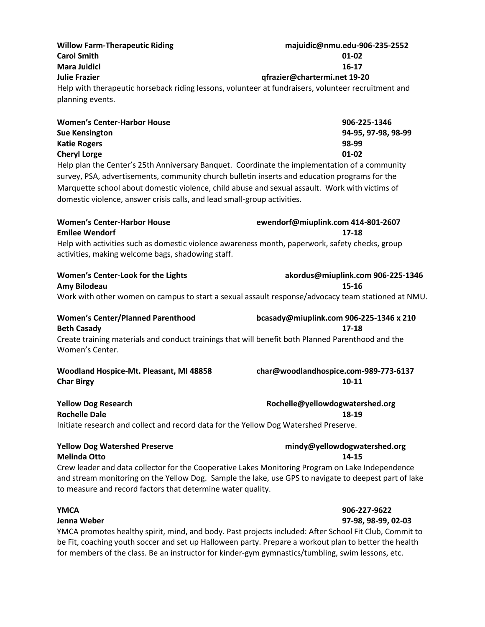**Willow Farm-Therapeutic Riding majuidic@nmu.edu-906-235-2552 Carol Smith 01-02 Mara Juidici 16-17 Julie Frazier qfrazier@chartermi.net 19-20** Help with therapeutic horseback riding lessons, volunteer at fundraisers, volunteer recruitment and planning events.

| <b>Women's Center-Harbor House</b> | 906-225-1346        |
|------------------------------------|---------------------|
| <b>Sue Kensington</b>              | 94-95. 97-98. 98-99 |
| <b>Katie Rogers</b>                | 98-99               |
| <b>Cheryl Lorge</b>                | 01-02               |

Help plan the Center's 25th Anniversary Banquet. Coordinate the implementation of a community survey, PSA, advertisements, community church bulletin inserts and education programs for the Marquette school about domestic violence, child abuse and sexual assault. Work with victims of domestic violence, answer crisis calls, and lead small-group activities.

| <b>Women's Center-Harbor House</b>                                                              | ewendorf@miuplink.com 414-801-2607 |
|-------------------------------------------------------------------------------------------------|------------------------------------|
| <b>Emilee Wendorf</b>                                                                           | 17-18                              |
| Help with activities such as domestic violence awareness month, paperwork, safety checks, group |                                    |
| activities, making welcome bags, shadowing staff.                                               |                                    |

# **Women's Center-Look for the Lights akordus@miuplink.com 906-225-1346**

**Amy Bilodeau 15-16**

### Work with other women on campus to start a sexual assault response/advocacy team stationed at NMU.

# **Women's Center/Planned Parenthood bcasady@miuplink.com 906-225-1346 x 210 Beth Casady 17-18**

Create training materials and conduct trainings that will benefit both Planned Parenthood and the Women's Center.

# **Char Birgy** 10-11

# **Woodland Hospice-Mt. Pleasant, MI 48858 char@woodlandhospice.com-989-773-6137**

# **Yellow Dog Research Rochelle@yellowdogwatershed.org**

**Rochelle Dale 18-19** Initiate research and collect and record data for the Yellow Dog Watershed Preserve.

### **Yellow Dog Watershed Preserve mindy@yellowdogwatershed.org Melinda Otto 14-15**

Crew leader and data collector for the Cooperative Lakes Monitoring Program on Lake Independence and stream monitoring on the Yellow Dog. Sample the lake, use GPS to navigate to deepest part of lake to measure and record factors that determine water quality.

### **YMCA 906-227-9622**

**Jenna Weber 97-98, 98-99, 02-03** 

YMCA promotes healthy spirit, mind, and body. Past projects included: After School Fit Club, Commit to be Fit, coaching youth soccer and set up Halloween party. Prepare a workout plan to better the health for members of the class. Be an instructor for kinder-gym gymnastics/tumbling, swim lessons, etc.